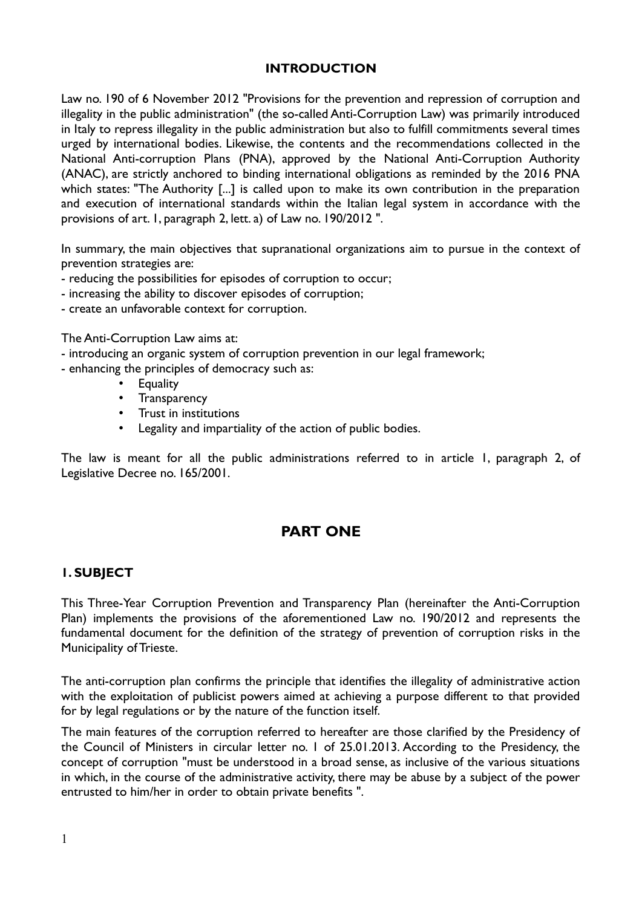#### **INTRODUCTION**

Law no. 190 of 6 November 2012 "Provisions for the prevention and repression of corruption and illegality in the public administration" (the so-called Anti-Corruption Law) was primarily introduced in Italy to repress illegality in the public administration but also to fulfill commitments several times urged by international bodies. Likewise, the contents and the recommendations collected in the National Anti-corruption Plans (PNA), approved by the National Anti-Corruption Authority (ANAC), are strictly anchored to binding international obligations as reminded by the 2016 PNA which states: "The Authority [...] is called upon to make its own contribution in the preparation and execution of international standards within the Italian legal system in accordance with the provisions of art. 1, paragraph 2, lett. a) of Law no. 190/2012 ".

In summary, the main objectives that supranational organizations aim to pursue in the context of prevention strategies are:

- reducing the possibilities for episodes of corruption to occur;
- increasing the ability to discover episodes of corruption;
- create an unfavorable context for corruption.

The Anti-Corruption Law aims at:

- introducing an organic system of corruption prevention in our legal framework;
- enhancing the principles of democracy such as:
	- **Equality**
	- Transparency
	- Trust in institutions
	- Legality and impartiality of the action of public bodies.

The law is meant for all the public administrations referred to in article 1, paragraph 2, of Legislative Decree no. 165/2001.

# **PART ONE**

# **1. SUBJECT**

This Three-Year Corruption Prevention and Transparency Plan (hereinafter the Anti-Corruption Plan) implements the provisions of the aforementioned Law no. 190/2012 and represents the fundamental document for the definition of the strategy of prevention of corruption risks in the Municipality of Trieste.

The anti-corruption plan confirms the principle that identifies the illegality of administrative action with the exploitation of publicist powers aimed at achieving a purpose different to that provided for by legal regulations or by the nature of the function itself.

The main features of the corruption referred to hereafter are those clarified by the Presidency of the Council of Ministers in circular letter no. 1 of 25.01.2013. According to the Presidency, the concept of corruption "must be understood in a broad sense, as inclusive of the various situations in which, in the course of the administrative activity, there may be abuse by a subject of the power entrusted to him/her in order to obtain private benefits ".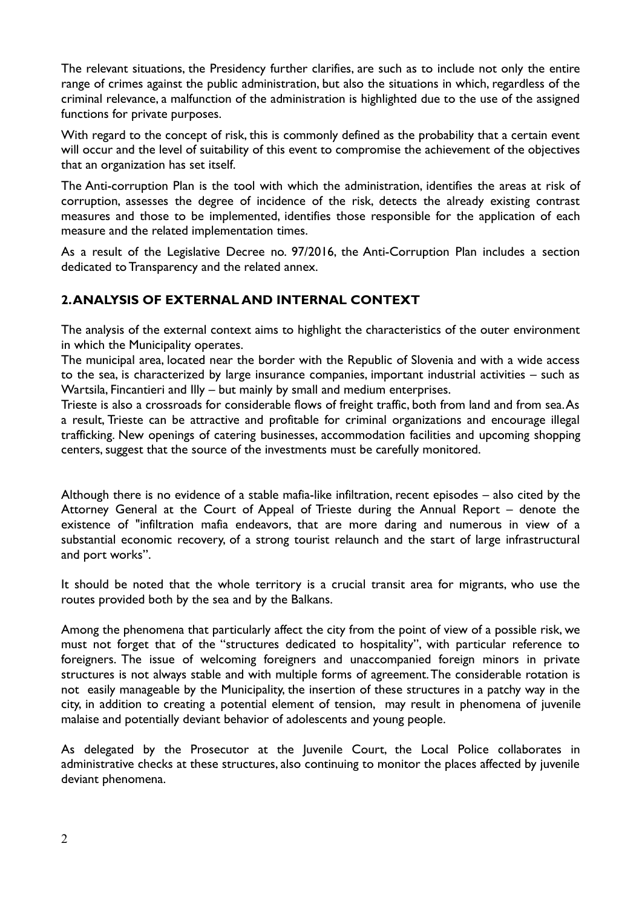The relevant situations, the Presidency further clarifies, are such as to include not only the entire range of crimes against the public administration, but also the situations in which, regardless of the criminal relevance, a malfunction of the administration is highlighted due to the use of the assigned functions for private purposes.

With regard to the concept of risk, this is commonly defined as the probability that a certain event will occur and the level of suitability of this event to compromise the achievement of the objectives that an organization has set itself.

The Anti-corruption Plan is the tool with which the administration, identifies the areas at risk of corruption, assesses the degree of incidence of the risk, detects the already existing contrast measures and those to be implemented, identifies those responsible for the application of each measure and the related implementation times.

As a result of the Legislative Decree no. 97/2016, the Anti-Corruption Plan includes a section dedicated to Transparency and the related annex.

# **2. ANALYSIS OF EXTERNAL AND INTERNAL CONTEXT**

The analysis of the external context aims to highlight the characteristics of the outer environment in which the Municipality operates.

The municipal area, located near the border with the Republic of Slovenia and with a wide access to the sea, is characterized by large insurance companies, important industrial activities – such as Wartsila, Fincantieri and Illy – but mainly by small and medium enterprises.

Trieste is also a crossroads for considerable flows of freight traffic, both from land and from sea. As a result, Trieste can be attractive and profitable for criminal organizations and encourage illegal trafficking. New openings of catering businesses, accommodation facilities and upcoming shopping centers, suggest that the source of the investments must be carefully monitored.

Although there is no evidence of a stable mafia-like infiltration, recent episodes – also cited by the Attorney General at the Court of Appeal of Trieste during the Annual Report – denote the existence of "infiltration mafia endeavors, that are more daring and numerous in view of a substantial economic recovery, of a strong tourist relaunch and the start of large infrastructural and port works".

It should be noted that the whole territory is a crucial transit area for migrants, who use the routes provided both by the sea and by the Balkans.

Among the phenomena that particularly affect the city from the point of view of a possible risk, we must not forget that of the "structures dedicated to hospitality", with particular reference to foreigners. The issue of welcoming foreigners and unaccompanied foreign minors in private structures is not always stable and with multiple forms of agreement. The considerable rotation is not easily manageable by the Municipality, the insertion of these structures in a patchy way in the city, in addition to creating a potential element of tension, may result in phenomena of juvenile malaise and potentially deviant behavior of adolescents and young people.

As delegated by the Prosecutor at the Juvenile Court, the Local Police collaborates in administrative checks at these structures, also continuing to monitor the places affected by juvenile deviant phenomena.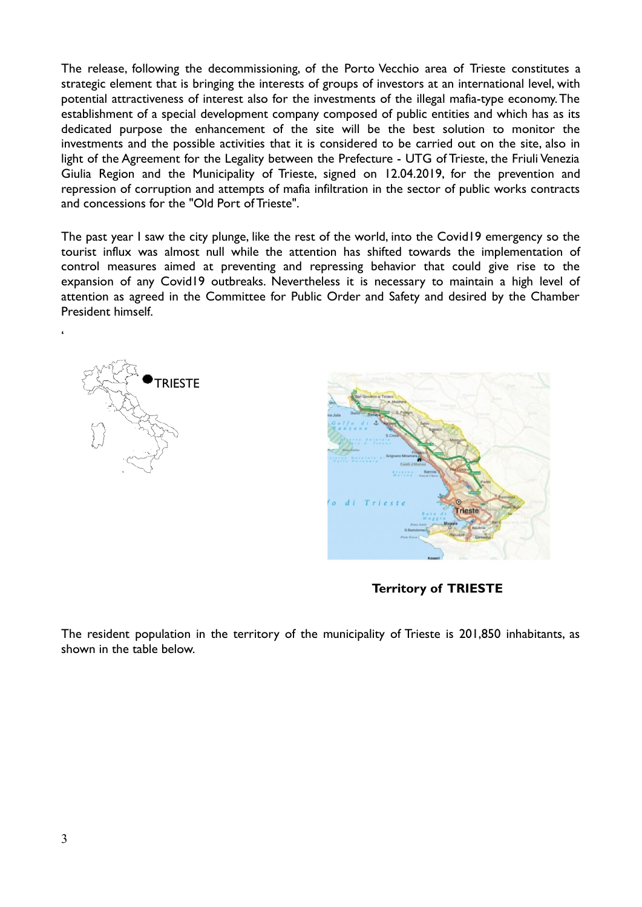The release, following the decommissioning, of the Porto Vecchio area of Trieste constitutes a strategic element that is bringing the interests of groups of investors at an international level, with potential attractiveness of interest also for the investments of the illegal mafia-type economy. The establishment of a special development company composed of public entities and which has as its dedicated purpose the enhancement of the site will be the best solution to monitor the investments and the possible activities that it is considered to be carried out on the site, also in light of the Agreement for the Legality between the Prefecture - UTG of Trieste, the Friuli Venezia Giulia Region and the Municipality of Trieste, signed on 12.04.2019, for the prevention and repression of corruption and attempts of mafia infiltration in the sector of public works contracts and concessions for the "Old Port of Trieste".

The past year I saw the city plunge, like the rest of the world, into the Covid19 emergency so the tourist influx was almost null while the attention has shifted towards the implementation of control measures aimed at preventing and repressing behavior that could give rise to the expansion of any Covid19 outbreaks. Nevertheless it is necessary to maintain a high level of attention as agreed in the Committee for Public Order and Safety and desired by the Chamber President himself.



'



**Territory of TRIESTE**

The resident population in the territory of the municipality of Trieste is 201,850 inhabitants, as shown in the table below.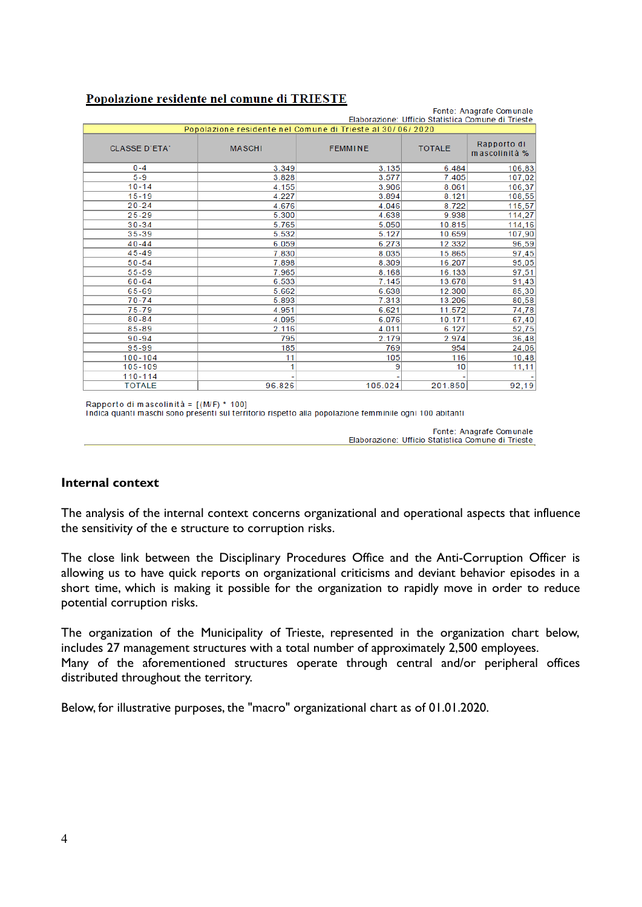| Fonte: Anagrafe Comunale<br>Elaborazione: Ufficio Statistica Comune di Trieste |               |                |               |                              |  |  |
|--------------------------------------------------------------------------------|---------------|----------------|---------------|------------------------------|--|--|
| Popolazione residente nel Comune di Trieste al 30/06/2020                      |               |                |               |                              |  |  |
| <b>CLASSE D'ETA'</b>                                                           | <b>MASCHI</b> | <b>FEMMINE</b> | <b>TOTALE</b> | Rapporto di<br>mascolinità % |  |  |
| $0 - 4$                                                                        | 3.349         | 3.135          | 6.484         | 106,83                       |  |  |
| $5 - 9$                                                                        | 3.828         | 3.577          | 7.405         | 107,02                       |  |  |
| $10 - 14$                                                                      | 4.155         | 3.906          | 8.061         | 106,37                       |  |  |
| $15 - 19$                                                                      | 4.227         | 3.894          | 8.121         | 108,55                       |  |  |
| $20 - 24$                                                                      | 4.676         | 4.046          | 8.722         | 115,57                       |  |  |
| $25 - 29$                                                                      | 5.300         | 4.638          | 9.938         | 114,27                       |  |  |
| $30 - 34$                                                                      | 5.765         | 5.050          | 10.815        | 114,16                       |  |  |
| 35-39                                                                          | 5.532         | 5.127          | 10.659        | 107,90                       |  |  |
| $40 - 44$                                                                      | 6.059         | 6.273          | 12.332        | 96,59                        |  |  |
| $45 - 49$                                                                      | 7.830         | 8.035          | 15.865        | 97,45                        |  |  |
| $50 - 54$                                                                      | 7.898         | 8.309          | 16.207        | 95,05                        |  |  |
| 55-59                                                                          | 7.965         | 8.168          | 16.133        | 97,51                        |  |  |
| $60 - 64$                                                                      | 6.533         | 7.145          | 13.678        | 91,43                        |  |  |
| 65-69                                                                          | 5.662         | 6.638          | 12.300        | 85,30                        |  |  |
| $70 - 74$                                                                      | 5.893         | 7.313          | 13.206        | 80,58                        |  |  |
| $75 - 79$                                                                      | 4.951         | 6.621          | 11.572        | 74,78                        |  |  |
| $80 - 84$                                                                      | 4.095         | 6.076          | 10.171        | 67,40                        |  |  |
| 85-89                                                                          | 2.116         | 4.011          | 6.127         | 52,75                        |  |  |
| $90 - 94$                                                                      | 795           | 2.179          | 2.974         | 36,48                        |  |  |
| 95-99                                                                          | 185           | 769            | 954           | 24,06                        |  |  |
| $100 - 104$                                                                    | 11            | 105            | 116           | 10,48                        |  |  |
| 105-109                                                                        | 1             | 9              | 10            | 11,11                        |  |  |
| 110-114                                                                        |               |                |               |                              |  |  |
| <b>TOTALE</b>                                                                  | 96.826        | 105.024        | 201.850       | 92,19                        |  |  |

# Popolazione residente nel comune di TRIESTE

Rapporto di mascolinità = [(M/F) \* 100]

Indica quanti maschi sono presenti sul territorio rispetto alla popolazione femminile ogni 100 abitanti

Fonte: Anagrafe Comunale Elaborazione: Ufficio Statistica Comune di Trieste

#### **Internal context**

The analysis of the internal context concerns organizational and operational aspects that influence the sensitivity of the e structure to corruption risks.

The close link between the Disciplinary Procedures Office and the Anti-Corruption Officer is allowing us to have quick reports on organizational criticisms and deviant behavior episodes in a short time, which is making it possible for the organization to rapidly move in order to reduce potential corruption risks.

The organization of the Municipality of Trieste, represented in the organization chart below, includes 27 management structures with a total number of approximately 2,500 employees. Many of the aforementioned structures operate through central and/or peripheral offices distributed throughout the territory.

Below, for illustrative purposes, the "macro" organizational chart as of 01.01.2020.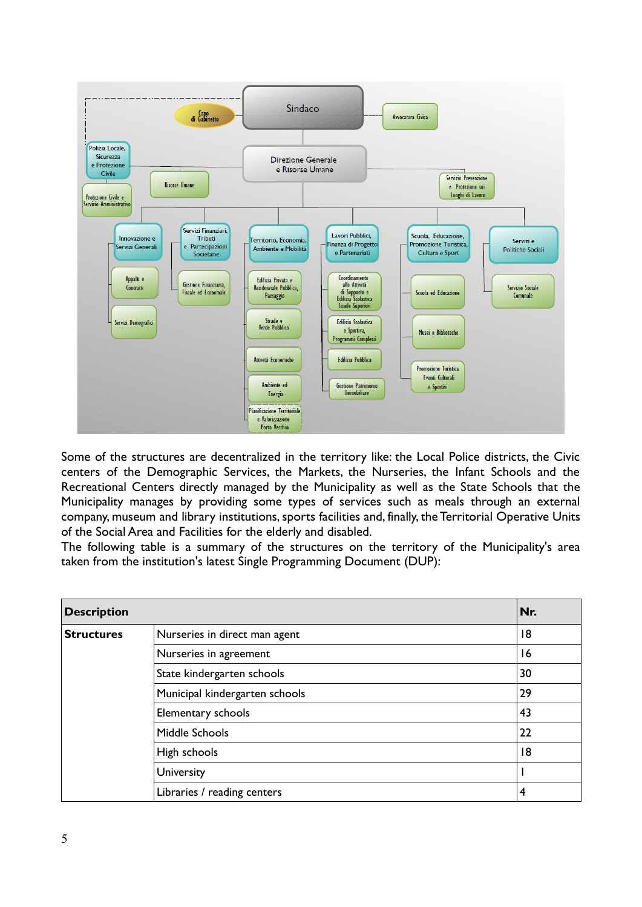

Some of the structures are decentralized in the territory like: the Local Police districts, the Civic centers of the Demographic Services, the Markets, the Nurseries, the Infant Schools and the Recreational Centers directly managed by the Municipality as well as the State Schools that the Municipality manages by providing some types of services such as meals through an external company, museum and library institutions, sports facilities and, finally, the Territorial Operative Units of the Social Area and Facilities for the elderly and disabled.

The following table is a summary of the structures on the territory of the Municipality's area taken from the institution's latest Single Programming Document (DUP):

| <b>Description</b> |                                | Nr. |
|--------------------|--------------------------------|-----|
| <b>Structures</b>  | Nurseries in direct man agent  | 18  |
|                    | Nurseries in agreement         | 16  |
|                    | State kindergarten schools     | 30  |
|                    | Municipal kindergarten schools | 29  |
|                    | Elementary schools             | 43  |
|                    | Middle Schools                 | 22  |
|                    | High schools                   | 18  |
|                    | University                     |     |
|                    | Libraries / reading centers    | 4   |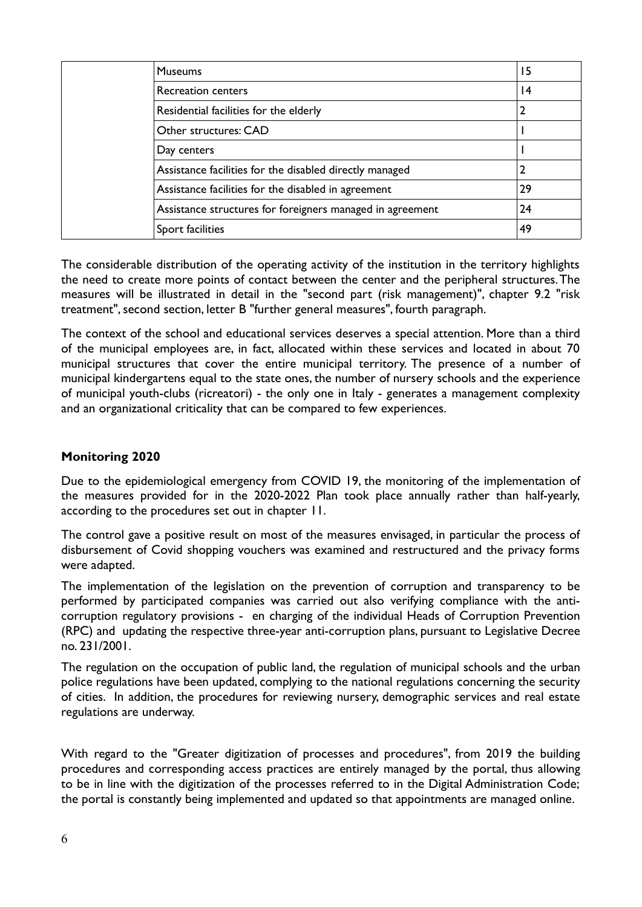| <b>Museums</b>                                            | 15 |
|-----------------------------------------------------------|----|
| Recreation centers                                        | 14 |
| Residential facilities for the elderly                    |    |
| Other structures: CAD                                     |    |
| Day centers                                               |    |
| Assistance facilities for the disabled directly managed   | 2  |
| Assistance facilities for the disabled in agreement       | 29 |
| Assistance structures for foreigners managed in agreement | 24 |
| Sport facilities                                          | 49 |

The considerable distribution of the operating activity of the institution in the territory highlights the need to create more points of contact between the center and the peripheral structures. The measures will be illustrated in detail in the "second part (risk management)", chapter 9.2 "risk treatment", second section, letter B "further general measures", fourth paragraph.

The context of the school and educational services deserves a special attention. More than a third of the municipal employees are, in fact, allocated within these services and located in about 70 municipal structures that cover the entire municipal territory. The presence of a number of municipal kindergartens equal to the state ones, the number of nursery schools and the experience of municipal youth-clubs (ricreatori) - the only one in Italy - generates a management complexity and an organizational criticality that can be compared to few experiences.

# **Monitoring 2020**

Due to the epidemiological emergency from COVID 19, the monitoring of the implementation of the measures provided for in the 2020-2022 Plan took place annually rather than half-yearly, according to the procedures set out in chapter 11.

The control gave a positive result on most of the measures envisaged, in particular the process of disbursement of Covid shopping vouchers was examined and restructured and the privacy forms were adapted.

The implementation of the legislation on the prevention of corruption and transparency to be performed by participated companies was carried out also verifying compliance with the anticorruption regulatory provisions - en charging of the individual Heads of Corruption Prevention (RPC) and updating the respective three-year anti-corruption plans, pursuant to Legislative Decree no. 231/2001.

The regulation on the occupation of public land, the regulation of municipal schools and the urban police regulations have been updated, complying to the national regulations concerning the security of cities. In addition, the procedures for reviewing nursery, demographic services and real estate regulations are underway.

With regard to the "Greater digitization of processes and procedures", from 2019 the building procedures and corresponding access practices are entirely managed by the portal, thus allowing to be in line with the digitization of the processes referred to in the Digital Administration Code; the portal is constantly being implemented and updated so that appointments are managed online.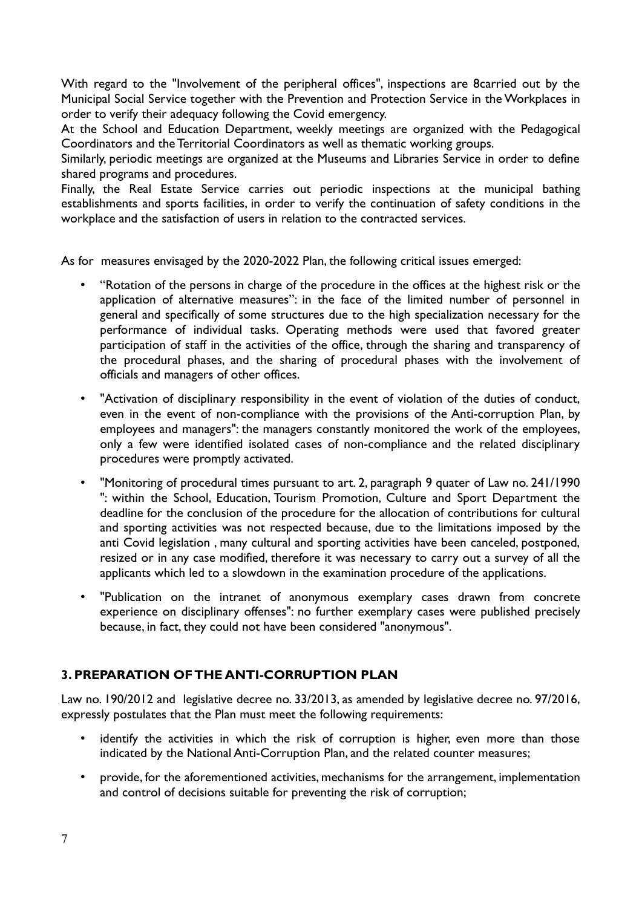With regard to the "Involvement of the peripheral offices", inspections are 8carried out by the Municipal Social Service together with the Prevention and Protection Service in the Workplaces in order to verify their adequacy following the Covid emergency.

At the School and Education Department, weekly meetings are organized with the Pedagogical Coordinators and the Territorial Coordinators as well as thematic working groups.

Similarly, periodic meetings are organized at the Museums and Libraries Service in order to define shared programs and procedures.

Finally, the Real Estate Service carries out periodic inspections at the municipal bathing establishments and sports facilities, in order to verify the continuation of safety conditions in the workplace and the satisfaction of users in relation to the contracted services.

As for measures envisaged by the 2020-2022 Plan, the following critical issues emerged:

- "Rotation of the persons in charge of the procedure in the offices at the highest risk or the application of alternative measures": in the face of the limited number of personnel in general and specifically of some structures due to the high specialization necessary for the performance of individual tasks. Operating methods were used that favored greater participation of staff in the activities of the office, through the sharing and transparency of the procedural phases, and the sharing of procedural phases with the involvement of officials and managers of other offices.
- "Activation of disciplinary responsibility in the event of violation of the duties of conduct, even in the event of non-compliance with the provisions of the Anti-corruption Plan, by employees and managers": the managers constantly monitored the work of the employees, only a few were identified isolated cases of non-compliance and the related disciplinary procedures were promptly activated.
- "Monitoring of procedural times pursuant to art. 2, paragraph 9 quater of Law no. 241/1990 ": within the School, Education, Tourism Promotion, Culture and Sport Department the deadline for the conclusion of the procedure for the allocation of contributions for cultural and sporting activities was not respected because, due to the limitations imposed by the anti Covid legislation , many cultural and sporting activities have been canceled, postponed, resized or in any case modified, therefore it was necessary to carry out a survey of all the applicants which led to a slowdown in the examination procedure of the applications.
- "Publication on the intranet of anonymous exemplary cases drawn from concrete experience on disciplinary offenses": no further exemplary cases were published precisely because, in fact, they could not have been considered "anonymous".

# **3. PREPARATION OF THE ANTI-CORRUPTION PLAN**

Law no. 190/2012 and legislative decree no. 33/2013, as amended by legislative decree no. 97/2016, expressly postulates that the Plan must meet the following requirements:

- identify the activities in which the risk of corruption is higher, even more than those indicated by the National Anti-Corruption Plan, and the related counter measures;
- provide, for the aforementioned activities, mechanisms for the arrangement, implementation and control of decisions suitable for preventing the risk of corruption;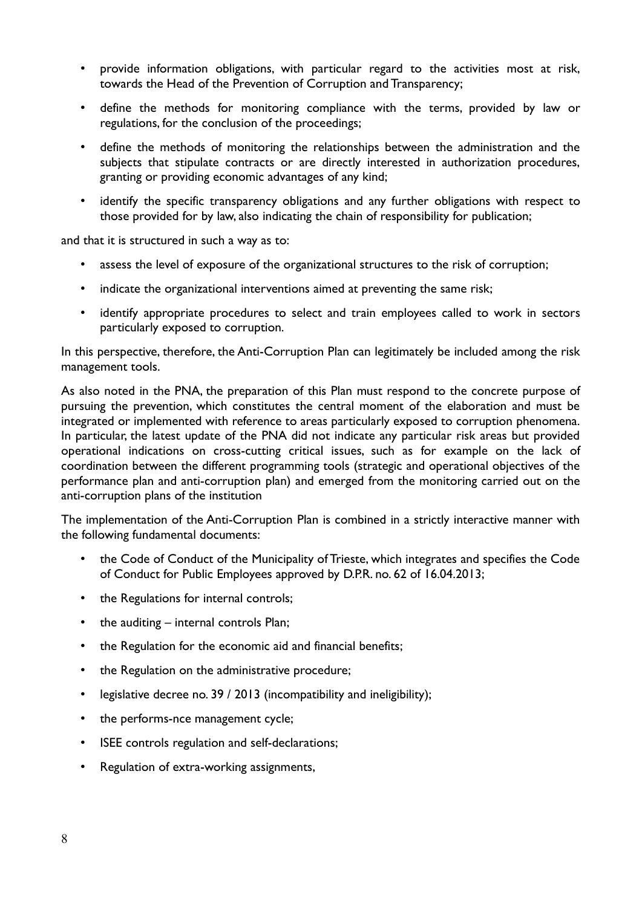- provide information obligations, with particular regard to the activities most at risk, towards the Head of the Prevention of Corruption and Transparency;
- define the methods for monitoring compliance with the terms, provided by law or regulations, for the conclusion of the proceedings;
- define the methods of monitoring the relationships between the administration and the subjects that stipulate contracts or are directly interested in authorization procedures, granting or providing economic advantages of any kind;
- identify the specific transparency obligations and any further obligations with respect to those provided for by law, also indicating the chain of responsibility for publication;

and that it is structured in such a way as to:

- assess the level of exposure of the organizational structures to the risk of corruption;
- indicate the organizational interventions aimed at preventing the same risk;
- identify appropriate procedures to select and train employees called to work in sectors particularly exposed to corruption.

In this perspective, therefore, the Anti-Corruption Plan can legitimately be included among the risk management tools.

As also noted in the PNA, the preparation of this Plan must respond to the concrete purpose of pursuing the prevention, which constitutes the central moment of the elaboration and must be integrated or implemented with reference to areas particularly exposed to corruption phenomena. In particular, the latest update of the PNA did not indicate any particular risk areas but provided operational indications on cross-cutting critical issues, such as for example on the lack of coordination between the different programming tools (strategic and operational objectives of the performance plan and anti-corruption plan) and emerged from the monitoring carried out on the anti-corruption plans of the institution

The implementation of the Anti-Corruption Plan is combined in a strictly interactive manner with the following fundamental documents:

- the Code of Conduct of the Municipality of Trieste, which integrates and specifies the Code of Conduct for Public Employees approved by D.P.R. no. 62 of 16.04.2013;
- the Regulations for internal controls;
- the auditing internal controls Plan;
- the Regulation for the economic aid and financial benefits;
- the Regulation on the administrative procedure;
- legislative decree no. 39 / 2013 (incompatibility and ineligibility);
- the performs-nce management cycle;
- ISEE controls regulation and self-declarations;
- Regulation of extra-working assignments,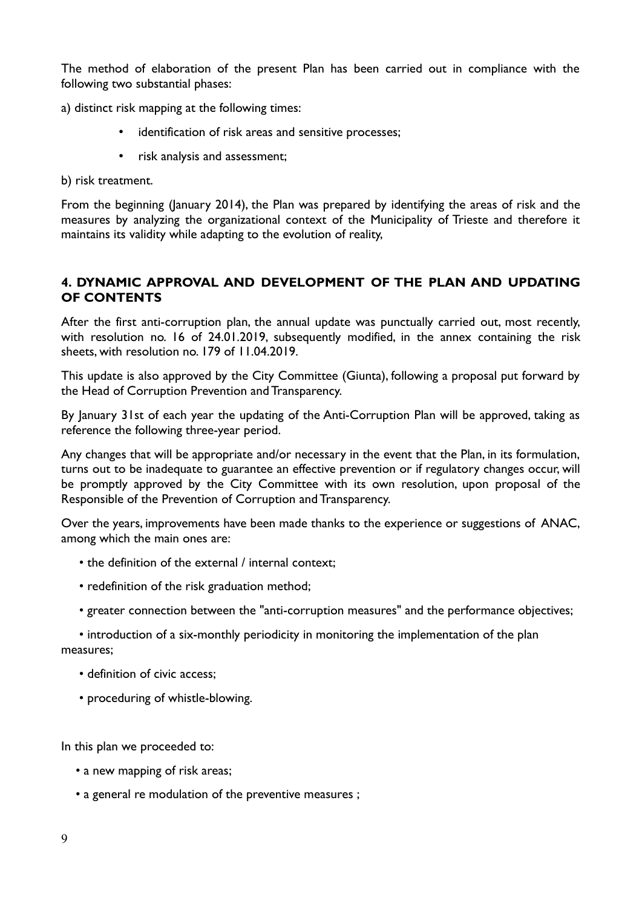The method of elaboration of the present Plan has been carried out in compliance with the following two substantial phases:

a) distinct risk mapping at the following times:

- identification of risk areas and sensitive processes;
- risk analysis and assessment;

b) risk treatment.

From the beginning (January 2014), the Plan was prepared by identifying the areas of risk and the measures by analyzing the organizational context of the Municipality of Trieste and therefore it maintains its validity while adapting to the evolution of reality,

# **4. DYNAMIC APPROVAL AND DEVELOPMENT OF THE PLAN AND UPDATING OF CONTENTS**

After the first anti-corruption plan, the annual update was punctually carried out, most recently, with resolution no. 16 of 24.01.2019, subsequently modified, in the annex containing the risk sheets, with resolution no. 179 of 11.04.2019.

This update is also approved by the City Committee (Giunta), following a proposal put forward by the Head of Corruption Prevention and Transparency.

By January 31st of each year the updating of the Anti-Corruption Plan will be approved, taking as reference the following three-year period.

Any changes that will be appropriate and/or necessary in the event that the Plan, in its formulation, turns out to be inadequate to guarantee an effective prevention or if regulatory changes occur, will be promptly approved by the City Committee with its own resolution, upon proposal of the Responsible of the Prevention of Corruption and Transparency.

Over the years, improvements have been made thanks to the experience or suggestions of ANAC, among which the main ones are:

- the definition of the external / internal context;
- redefinition of the risk graduation method;
- greater connection between the "anti-corruption measures" and the performance objectives;
- introduction of a six-monthly periodicity in monitoring the implementation of the plan measures;
	- definition of civic access;
	- proceduring of whistle-blowing.

In this plan we proceeded to:

- a new mapping of risk areas;
- a general re modulation of the preventive measures ;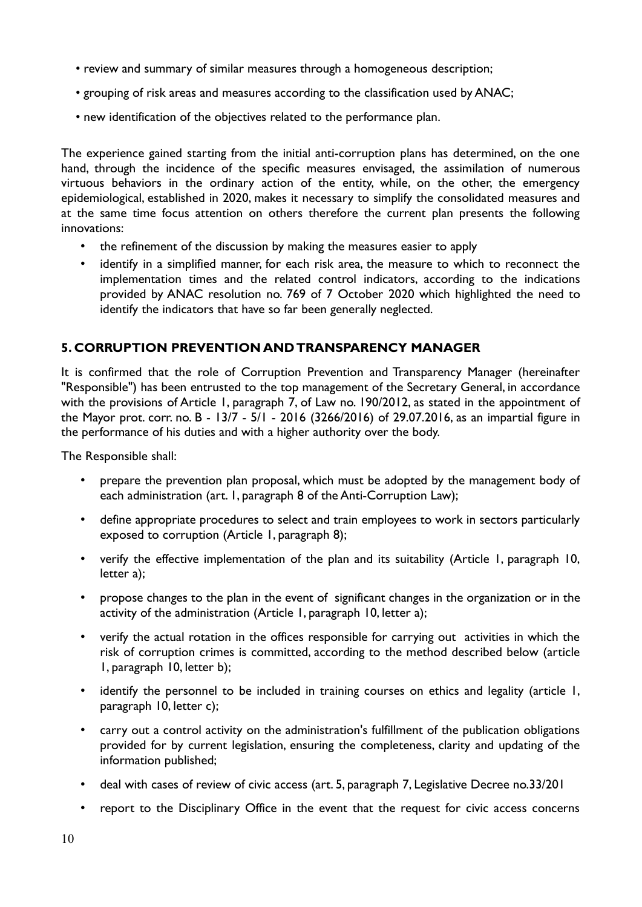- review and summary of similar measures through a homogeneous description;
- grouping of risk areas and measures according to the classification used by ANAC;
- new identification of the objectives related to the performance plan.

The experience gained starting from the initial anti-corruption plans has determined, on the one hand, through the incidence of the specific measures envisaged, the assimilation of numerous virtuous behaviors in the ordinary action of the entity, while, on the other, the emergency epidemiological, established in 2020, makes it necessary to simplify the consolidated measures and at the same time focus attention on others therefore the current plan presents the following innovations:

- the refinement of the discussion by making the measures easier to apply
- identify in a simplified manner, for each risk area, the measure to which to reconnect the implementation times and the related control indicators, according to the indications provided by ANAC resolution no. 769 of 7 October 2020 which highlighted the need to identify the indicators that have so far been generally neglected.

#### **5. CORRUPTION PREVENTION AND TRANSPARENCY MANAGER**

It is confirmed that the role of Corruption Prevention and Transparency Manager (hereinafter "Responsible") has been entrusted to the top management of the Secretary General, in accordance with the provisions of Article 1, paragraph 7, of Law no. 190/2012, as stated in the appointment of the Mayor prot. corr. no. B - 13/7 - 5/1 - 2016 (3266/2016) of 29.07.2016, as an impartial figure in the performance of his duties and with a higher authority over the body.

The Responsible shall:

- prepare the prevention plan proposal, which must be adopted by the management body of each administration (art. 1, paragraph 8 of the Anti-Corruption Law);
- define appropriate procedures to select and train employees to work in sectors particularly exposed to corruption (Article 1, paragraph 8);
- verify the effective implementation of the plan and its suitability (Article 1, paragraph 10, letter a);
- propose changes to the plan in the event of significant changes in the organization or in the activity of the administration (Article 1, paragraph 10, letter a);
- verify the actual rotation in the offices responsible for carrying out activities in which the risk of corruption crimes is committed, according to the method described below (article 1, paragraph 10, letter b);
- identify the personnel to be included in training courses on ethics and legality (article 1, paragraph 10, letter c);
- carry out a control activity on the administration's fulfillment of the publication obligations provided for by current legislation, ensuring the completeness, clarity and updating of the information published;
- deal with cases of review of civic access (art. 5, paragraph 7, Legislative Decree no.33/201
- report to the Disciplinary Office in the event that the request for civic access concerns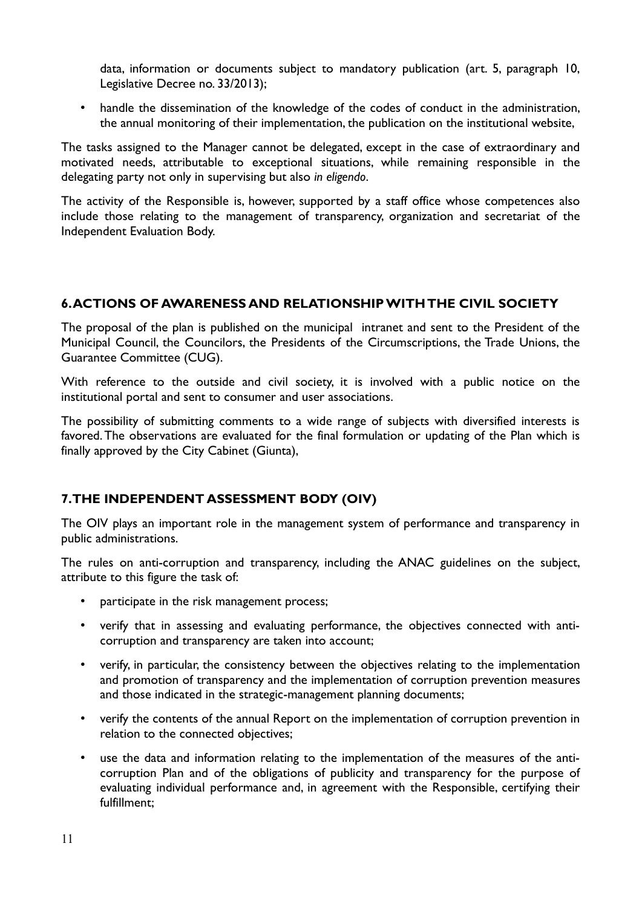data, information or documents subject to mandatory publication (art. 5, paragraph 10, Legislative Decree no. 33/2013);

• handle the dissemination of the knowledge of the codes of conduct in the administration, the annual monitoring of their implementation, the publication on the institutional website,

The tasks assigned to the Manager cannot be delegated, except in the case of extraordinary and motivated needs, attributable to exceptional situations, while remaining responsible in the delegating party not only in supervising but also *in eligendo*.

The activity of the Responsible is, however, supported by a staff office whose competences also include those relating to the management of transparency, organization and secretariat of the Independent Evaluation Body.

# **6. ACTIONS OF AWARENESS AND RELATIONSHIP WITH THE CIVIL SOCIETY**

The proposal of the plan is published on the municipal intranet and sent to the President of the Municipal Council, the Councilors, the Presidents of the Circumscriptions, the Trade Unions, the Guarantee Committee (CUG).

With reference to the outside and civil society, it is involved with a public notice on the institutional portal and sent to consumer and user associations.

The possibility of submitting comments to a wide range of subjects with diversified interests is favored. The observations are evaluated for the final formulation or updating of the Plan which is finally approved by the City Cabinet (Giunta),

# **7. THE INDEPENDENT ASSESSMENT BODY (OIV)**

The OIV plays an important role in the management system of performance and transparency in public administrations.

The rules on anti-corruption and transparency, including the ANAC guidelines on the subject, attribute to this figure the task of:

- participate in the risk management process;
- verify that in assessing and evaluating performance, the objectives connected with anticorruption and transparency are taken into account;
- verify, in particular, the consistency between the objectives relating to the implementation and promotion of transparency and the implementation of corruption prevention measures and those indicated in the strategic-management planning documents;
- verify the contents of the annual Report on the implementation of corruption prevention in relation to the connected objectives;
- use the data and information relating to the implementation of the measures of the anticorruption Plan and of the obligations of publicity and transparency for the purpose of evaluating individual performance and, in agreement with the Responsible, certifying their fulfillment;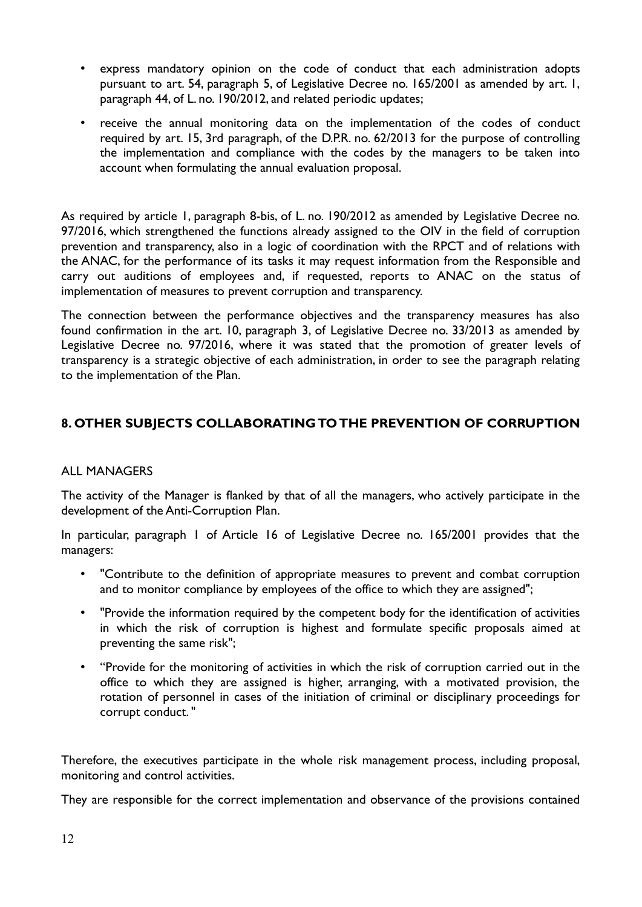- express mandatory opinion on the code of conduct that each administration adopts pursuant to art. 54, paragraph 5, of Legislative Decree no. 165/2001 as amended by art. 1, paragraph 44, of L. no. 190/2012, and related periodic updates;
- receive the annual monitoring data on the implementation of the codes of conduct required by art. 15, 3rd paragraph, of the D.P.R. no. 62/2013 for the purpose of controlling the implementation and compliance with the codes by the managers to be taken into account when formulating the annual evaluation proposal.

As required by article 1, paragraph 8-bis, of L. no. 190/2012 as amended by Legislative Decree no. 97/2016, which strengthened the functions already assigned to the OIV in the field of corruption prevention and transparency, also in a logic of coordination with the RPCT and of relations with the ANAC, for the performance of its tasks it may request information from the Responsible and carry out auditions of employees and, if requested, reports to ANAC on the status of implementation of measures to prevent corruption and transparency.

The connection between the performance objectives and the transparency measures has also found confirmation in the art. 10, paragraph 3, of Legislative Decree no. 33/2013 as amended by Legislative Decree no. 97/2016, where it was stated that the promotion of greater levels of transparency is a strategic objective of each administration, in order to see the paragraph relating to the implementation of the Plan.

# **8. OTHER SUBJECTS COLLABORATING TO THE PREVENTION OF CORRUPTION**

# ALL MANAGERS

The activity of the Manager is flanked by that of all the managers, who actively participate in the development of the Anti-Corruption Plan.

In particular, paragraph 1 of Article 16 of Legislative Decree no. 165/2001 provides that the managers:

- "Contribute to the definition of appropriate measures to prevent and combat corruption and to monitor compliance by employees of the office to which they are assigned";
- "Provide the information required by the competent body for the identification of activities in which the risk of corruption is highest and formulate specific proposals aimed at preventing the same risk";
- "Provide for the monitoring of activities in which the risk of corruption carried out in the office to which they are assigned is higher, arranging, with a motivated provision, the rotation of personnel in cases of the initiation of criminal or disciplinary proceedings for corrupt conduct. "

Therefore, the executives participate in the whole risk management process, including proposal, monitoring and control activities.

They are responsible for the correct implementation and observance of the provisions contained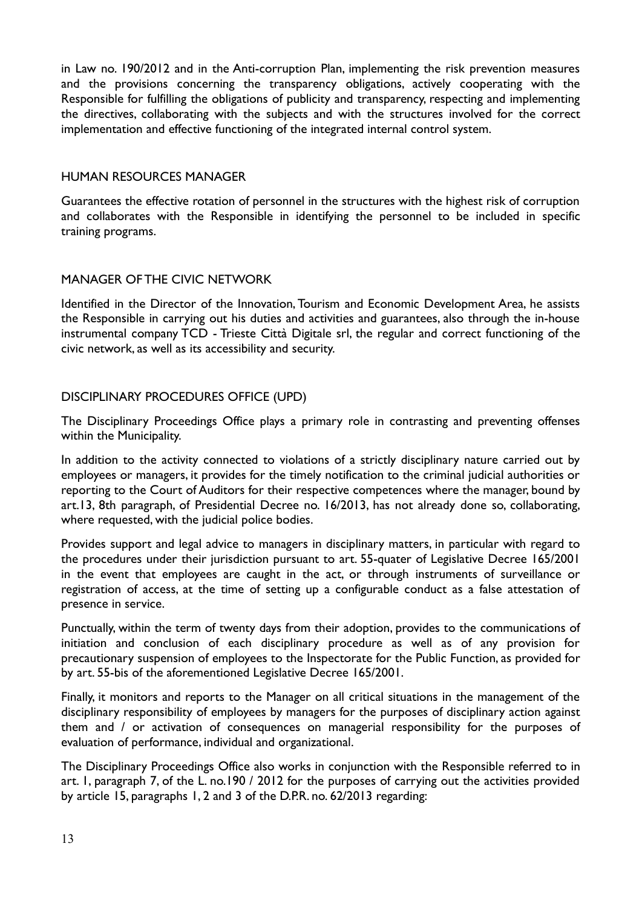in Law no. 190/2012 and in the Anti-corruption Plan, implementing the risk prevention measures and the provisions concerning the transparency obligations, actively cooperating with the Responsible for fulfilling the obligations of publicity and transparency, respecting and implementing the directives, collaborating with the subjects and with the structures involved for the correct implementation and effective functioning of the integrated internal control system.

#### HUMAN RESOURCES MANAGER

Guarantees the effective rotation of personnel in the structures with the highest risk of corruption and collaborates with the Responsible in identifying the personnel to be included in specific training programs.

# MANAGER OF THE CIVIC NETWORK

Identified in the Director of the Innovation, Tourism and Economic Development Area, he assists the Responsible in carrying out his duties and activities and guarantees, also through the in-house instrumental company TCD - Trieste Città Digitale srl, the regular and correct functioning of the civic network, as well as its accessibility and security.

# DISCIPLINARY PROCEDURES OFFICE (UPD)

The Disciplinary Proceedings Office plays a primary role in contrasting and preventing offenses within the Municipality.

In addition to the activity connected to violations of a strictly disciplinary nature carried out by employees or managers, it provides for the timely notification to the criminal judicial authorities or reporting to the Court of Auditors for their respective competences where the manager, bound by art.13, 8th paragraph, of Presidential Decree no. 16/2013, has not already done so, collaborating, where requested, with the judicial police bodies.

Provides support and legal advice to managers in disciplinary matters, in particular with regard to the procedures under their jurisdiction pursuant to art. 55-quater of Legislative Decree 165/2001 in the event that employees are caught in the act, or through instruments of surveillance or registration of access, at the time of setting up a configurable conduct as a false attestation of presence in service.

Punctually, within the term of twenty days from their adoption, provides to the communications of initiation and conclusion of each disciplinary procedure as well as of any provision for precautionary suspension of employees to the Inspectorate for the Public Function, as provided for by art. 55-bis of the aforementioned Legislative Decree 165/2001.

Finally, it monitors and reports to the Manager on all critical situations in the management of the disciplinary responsibility of employees by managers for the purposes of disciplinary action against them and / or activation of consequences on managerial responsibility for the purposes of evaluation of performance, individual and organizational.

The Disciplinary Proceedings Office also works in conjunction with the Responsible referred to in art. 1, paragraph 7, of the L. no.190 / 2012 for the purposes of carrying out the activities provided by article 15, paragraphs 1, 2 and 3 of the D.P.R. no. 62/2013 regarding: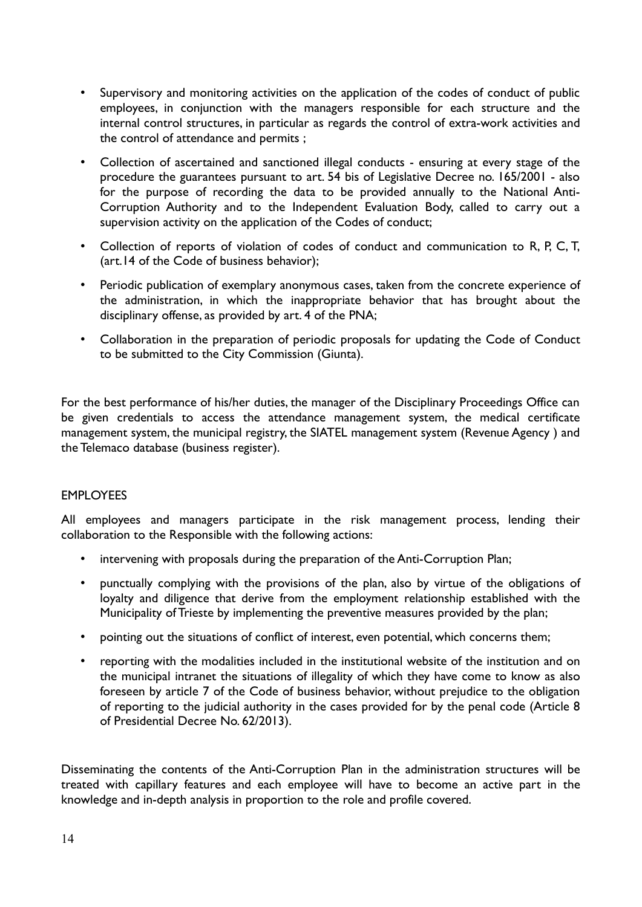- Supervisory and monitoring activities on the application of the codes of conduct of public employees, in conjunction with the managers responsible for each structure and the internal control structures, in particular as regards the control of extra-work activities and the control of attendance and permits ;
- Collection of ascertained and sanctioned illegal conducts ensuring at every stage of the procedure the guarantees pursuant to art. 54 bis of Legislative Decree no. 165/2001 - also for the purpose of recording the data to be provided annually to the National Anti-Corruption Authority and to the Independent Evaluation Body, called to carry out a supervision activity on the application of the Codes of conduct;
- Collection of reports of violation of codes of conduct and communication to R, P, C, T, (art.14 of the Code of business behavior);
- Periodic publication of exemplary anonymous cases, taken from the concrete experience of the administration, in which the inappropriate behavior that has brought about the disciplinary offense, as provided by art. 4 of the PNA;
- Collaboration in the preparation of periodic proposals for updating the Code of Conduct to be submitted to the City Commission (Giunta).

For the best performance of his/her duties, the manager of the Disciplinary Proceedings Office can be given credentials to access the attendance management system, the medical certificate management system, the municipal registry, the SIATEL management system (Revenue Agency ) and the Telemaco database (business register).

# EMPLOYEES

All employees and managers participate in the risk management process, lending their collaboration to the Responsible with the following actions:

- intervening with proposals during the preparation of the Anti-Corruption Plan;
- punctually complying with the provisions of the plan, also by virtue of the obligations of loyalty and diligence that derive from the employment relationship established with the Municipality of Trieste by implementing the preventive measures provided by the plan;
- pointing out the situations of conflict of interest, even potential, which concerns them;
- reporting with the modalities included in the institutional website of the institution and on the municipal intranet the situations of illegality of which they have come to know as also foreseen by article 7 of the Code of business behavior, without prejudice to the obligation of reporting to the judicial authority in the cases provided for by the penal code (Article 8 of Presidential Decree No. 62/2013).

Disseminating the contents of the Anti-Corruption Plan in the administration structures will be treated with capillary features and each employee will have to become an active part in the knowledge and in-depth analysis in proportion to the role and profile covered.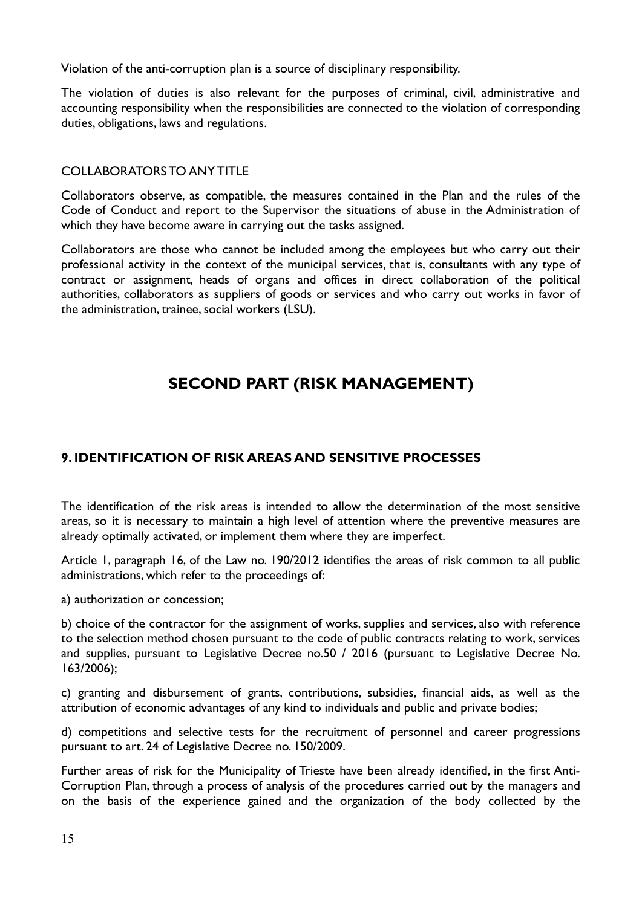Violation of the anti-corruption plan is a source of disciplinary responsibility.

The violation of duties is also relevant for the purposes of criminal, civil, administrative and accounting responsibility when the responsibilities are connected to the violation of corresponding duties, obligations, laws and regulations.

#### COLLABORATORS TO ANY TITLE

Collaborators observe, as compatible, the measures contained in the Plan and the rules of the Code of Conduct and report to the Supervisor the situations of abuse in the Administration of which they have become aware in carrying out the tasks assigned.

Collaborators are those who cannot be included among the employees but who carry out their professional activity in the context of the municipal services, that is, consultants with any type of contract or assignment, heads of organs and offices in direct collaboration of the political authorities, collaborators as suppliers of goods or services and who carry out works in favor of the administration, trainee, social workers (LSU).

# **SECOND PART (RISK MANAGEMENT)**

# **9. IDENTIFICATION OF RISK AREAS AND SENSITIVE PROCESSES**

The identification of the risk areas is intended to allow the determination of the most sensitive areas, so it is necessary to maintain a high level of attention where the preventive measures are already optimally activated, or implement them where they are imperfect.

Article 1, paragraph 16, of the Law no. 190/2012 identifies the areas of risk common to all public administrations, which refer to the proceedings of:

a) authorization or concession;

b) choice of the contractor for the assignment of works, supplies and services, also with reference to the selection method chosen pursuant to the code of public contracts relating to work, services and supplies, pursuant to Legislative Decree no.50 / 2016 (pursuant to Legislative Decree No. 163/2006);

c) granting and disbursement of grants, contributions, subsidies, financial aids, as well as the attribution of economic advantages of any kind to individuals and public and private bodies;

d) competitions and selective tests for the recruitment of personnel and career progressions pursuant to art. 24 of Legislative Decree no. 150/2009.

Further areas of risk for the Municipality of Trieste have been already identified, in the first Anti-Corruption Plan, through a process of analysis of the procedures carried out by the managers and on the basis of the experience gained and the organization of the body collected by the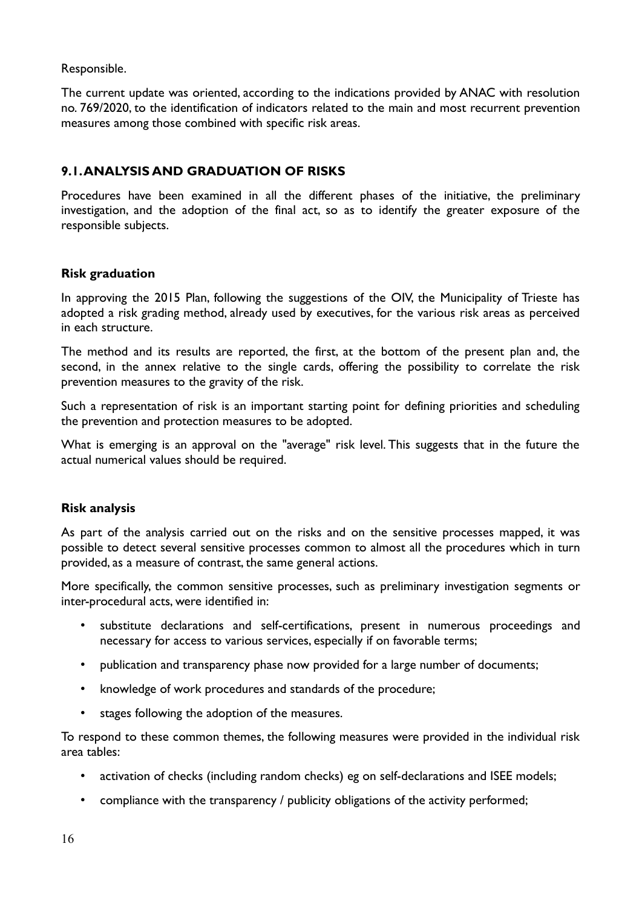Responsible.

The current update was oriented, according to the indications provided by ANAC with resolution no. 769/2020, to the identification of indicators related to the main and most recurrent prevention measures among those combined with specific risk areas.

# **9.1. ANALYSIS AND GRADUATION OF RISKS**

Procedures have been examined in all the different phases of the initiative, the preliminary investigation, and the adoption of the final act, so as to identify the greater exposure of the responsible subjects.

# **Risk graduation**

In approving the 2015 Plan, following the suggestions of the OIV, the Municipality of Trieste has adopted a risk grading method, already used by executives, for the various risk areas as perceived in each structure.

The method and its results are reported, the first, at the bottom of the present plan and, the second, in the annex relative to the single cards, offering the possibility to correlate the risk prevention measures to the gravity of the risk.

Such a representation of risk is an important starting point for defining priorities and scheduling the prevention and protection measures to be adopted.

What is emerging is an approval on the "average" risk level. This suggests that in the future the actual numerical values should be required.

# **Risk analysis**

As part of the analysis carried out on the risks and on the sensitive processes mapped, it was possible to detect several sensitive processes common to almost all the procedures which in turn provided, as a measure of contrast, the same general actions.

More specifically, the common sensitive processes, such as preliminary investigation segments or inter-procedural acts, were identified in:

- substitute declarations and self-certifications, present in numerous proceedings and necessary for access to various services, especially if on favorable terms;
- publication and transparency phase now provided for a large number of documents;
- knowledge of work procedures and standards of the procedure;
- stages following the adoption of the measures.

To respond to these common themes, the following measures were provided in the individual risk area tables:

- activation of checks (including random checks) eg on self-declarations and ISEE models;
- compliance with the transparency / publicity obligations of the activity performed;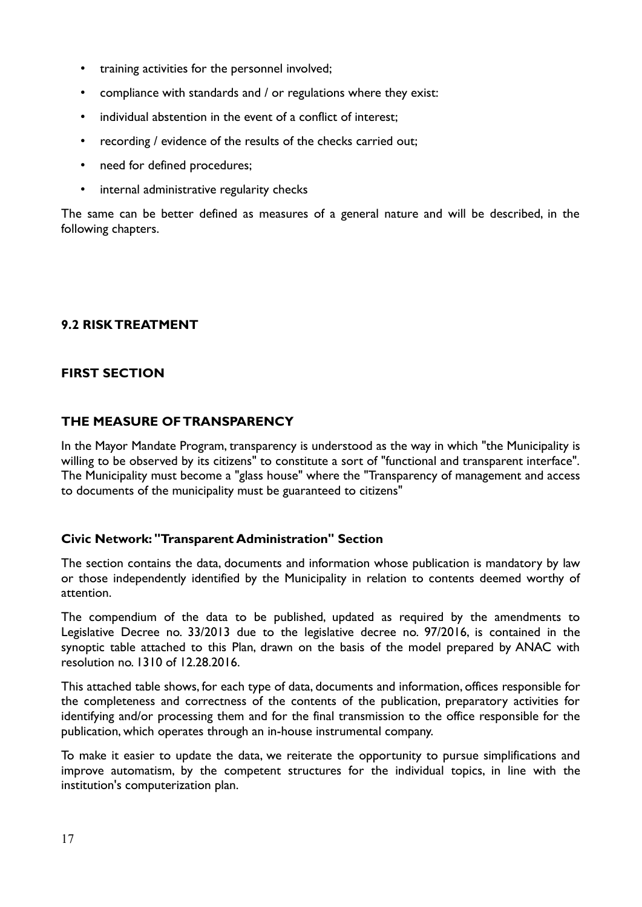- training activities for the personnel involved;
- compliance with standards and / or regulations where they exist:
- individual abstention in the event of a conflict of interest;
- recording / evidence of the results of the checks carried out;
- need for defined procedures;
- internal administrative regularity checks

The same can be better defined as measures of a general nature and will be described, in the following chapters.

# **9.2 RISK TREATMENT**

# **FIRST SECTION**

# **THE MEASURE OF TRANSPARENCY**

In the Mayor Mandate Program, transparency is understood as the way in which "the Municipality is willing to be observed by its citizens" to constitute a sort of "functional and transparent interface". The Municipality must become a "glass house" where the "Transparency of management and access to documents of the municipality must be guaranteed to citizens"

#### **Civic Network: "Transparent Administration" Section**

The section contains the data, documents and information whose publication is mandatory by law or those independently identified by the Municipality in relation to contents deemed worthy of attention.

The compendium of the data to be published, updated as required by the amendments to Legislative Decree no. 33/2013 due to the legislative decree no. 97/2016, is contained in the synoptic table attached to this Plan, drawn on the basis of the model prepared by ANAC with resolution no. 1310 of 12.28.2016.

This attached table shows, for each type of data, documents and information, offices responsible for the completeness and correctness of the contents of the publication, preparatory activities for identifying and/or processing them and for the final transmission to the office responsible for the publication, which operates through an in-house instrumental company.

To make it easier to update the data, we reiterate the opportunity to pursue simplifications and improve automatism, by the competent structures for the individual topics, in line with the institution's computerization plan.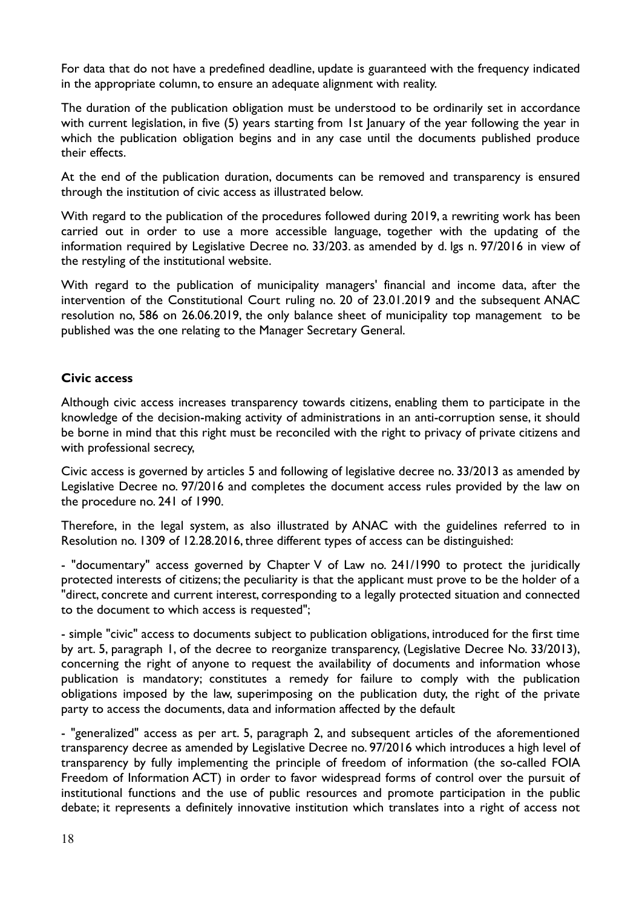For data that do not have a predefined deadline, update is guaranteed with the frequency indicated in the appropriate column, to ensure an adequate alignment with reality.

The duration of the publication obligation must be understood to be ordinarily set in accordance with current legislation, in five (5) years starting from 1st January of the year following the year in which the publication obligation begins and in any case until the documents published produce their effects.

At the end of the publication duration, documents can be removed and transparency is ensured through the institution of civic access as illustrated below.

With regard to the publication of the procedures followed during 2019, a rewriting work has been carried out in order to use a more accessible language, together with the updating of the information required by Legislative Decree no. 33/203. as amended by d. lgs n. 97/2016 in view of the restyling of the institutional website.

With regard to the publication of municipality managers' financial and income data, after the intervention of the Constitutional Court ruling no. 20 of 23.01.2019 and the subsequent ANAC resolution no, 586 on 26.06.2019, the only balance sheet of municipality top management to be published was the one relating to the Manager Secretary General.

# **Civic access**

Although civic access increases transparency towards citizens, enabling them to participate in the knowledge of the decision-making activity of administrations in an anti-corruption sense, it should be borne in mind that this right must be reconciled with the right to privacy of private citizens and with professional secrecy,

Civic access is governed by articles 5 and following of legislative decree no. 33/2013 as amended by Legislative Decree no. 97/2016 and completes the document access rules provided by the law on the procedure no. 241 of 1990.

Therefore, in the legal system, as also illustrated by ANAC with the guidelines referred to in Resolution no. 1309 of 12.28.2016, three different types of access can be distinguished:

- "documentary" access governed by Chapter V of Law no. 241/1990 to protect the juridically protected interests of citizens; the peculiarity is that the applicant must prove to be the holder of a "direct, concrete and current interest, corresponding to a legally protected situation and connected to the document to which access is requested";

- simple "civic" access to documents subject to publication obligations, introduced for the first time by art. 5, paragraph 1, of the decree to reorganize transparency, (Legislative Decree No. 33/2013), concerning the right of anyone to request the availability of documents and information whose publication is mandatory; constitutes a remedy for failure to comply with the publication obligations imposed by the law, superimposing on the publication duty, the right of the private party to access the documents, data and information affected by the default

- "generalized" access as per art. 5, paragraph 2, and subsequent articles of the aforementioned transparency decree as amended by Legislative Decree no. 97/2016 which introduces a high level of transparency by fully implementing the principle of freedom of information (the so-called FOIA Freedom of Information ACT) in order to favor widespread forms of control over the pursuit of institutional functions and the use of public resources and promote participation in the public debate; it represents a definitely innovative institution which translates into a right of access not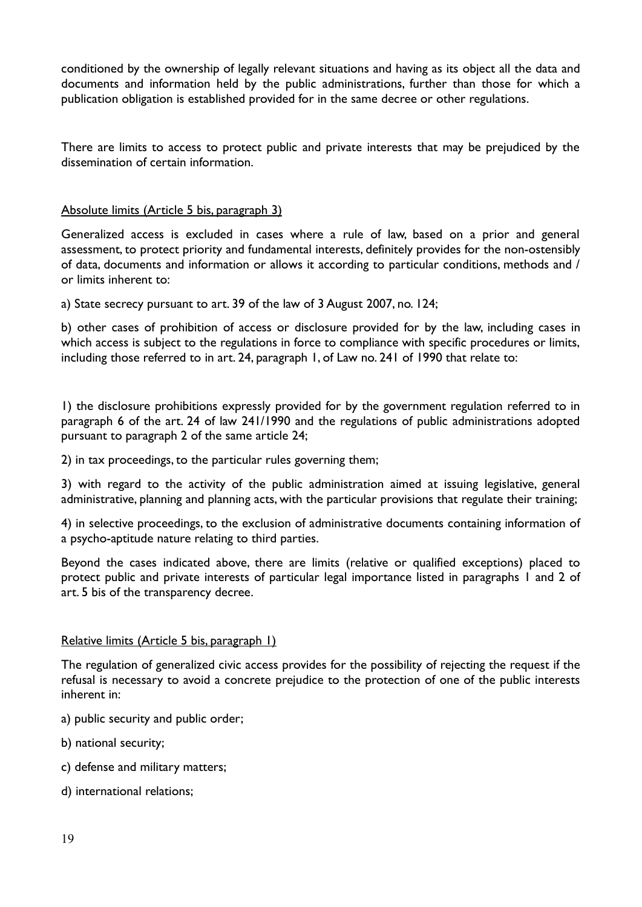conditioned by the ownership of legally relevant situations and having as its object all the data and documents and information held by the public administrations, further than those for which a publication obligation is established provided for in the same decree or other regulations.

There are limits to access to protect public and private interests that may be prejudiced by the dissemination of certain information.

#### Absolute limits (Article 5 bis, paragraph 3)

Generalized access is excluded in cases where a rule of law, based on a prior and general assessment, to protect priority and fundamental interests, definitely provides for the non-ostensibly of data, documents and information or allows it according to particular conditions, methods and / or limits inherent to:

a) State secrecy pursuant to art. 39 of the law of 3 August 2007, no. 124;

b) other cases of prohibition of access or disclosure provided for by the law, including cases in which access is subject to the regulations in force to compliance with specific procedures or limits, including those referred to in art. 24, paragraph 1, of Law no. 241 of 1990 that relate to:

1) the disclosure prohibitions expressly provided for by the government regulation referred to in paragraph 6 of the art. 24 of law 241/1990 and the regulations of public administrations adopted pursuant to paragraph 2 of the same article 24;

2) in tax proceedings, to the particular rules governing them;

3) with regard to the activity of the public administration aimed at issuing legislative, general administrative, planning and planning acts, with the particular provisions that regulate their training;

4) in selective proceedings, to the exclusion of administrative documents containing information of a psycho-aptitude nature relating to third parties.

Beyond the cases indicated above, there are limits (relative or qualified exceptions) placed to protect public and private interests of particular legal importance listed in paragraphs 1 and 2 of art. 5 bis of the transparency decree.

#### Relative limits (Article 5 bis, paragraph 1)

The regulation of generalized civic access provides for the possibility of rejecting the request if the refusal is necessary to avoid a concrete prejudice to the protection of one of the public interests inherent in:

a) public security and public order;

- b) national security;
- c) defense and military matters;
- d) international relations;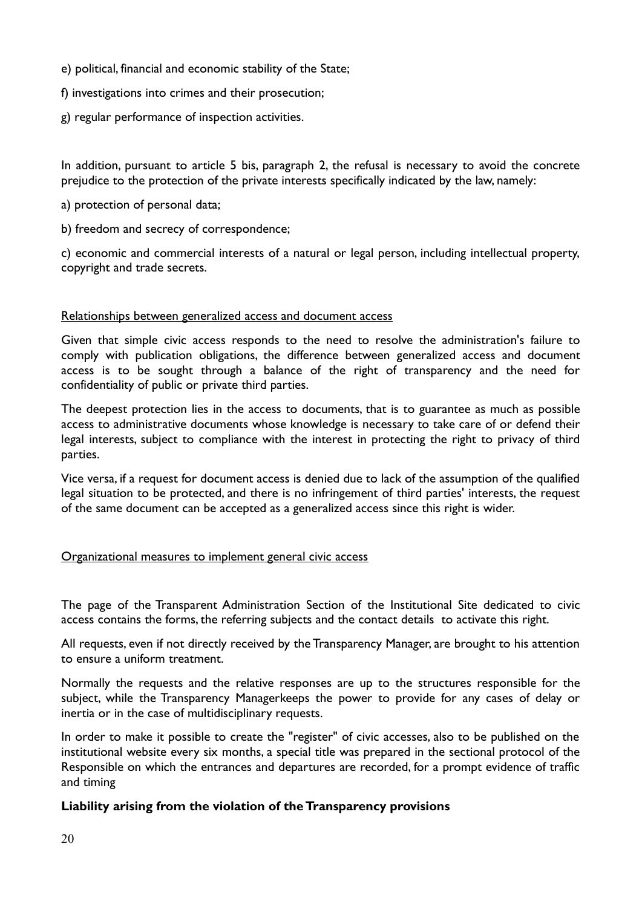- e) political, financial and economic stability of the State;
- f) investigations into crimes and their prosecution;
- g) regular performance of inspection activities.

In addition, pursuant to article 5 bis, paragraph 2, the refusal is necessary to avoid the concrete prejudice to the protection of the private interests specifically indicated by the law, namely:

- a) protection of personal data;
- b) freedom and secrecy of correspondence;

c) economic and commercial interests of a natural or legal person, including intellectual property, copyright and trade secrets.

#### Relationships between generalized access and document access

Given that simple civic access responds to the need to resolve the administration's failure to comply with publication obligations, the difference between generalized access and document access is to be sought through a balance of the right of transparency and the need for confidentiality of public or private third parties.

The deepest protection lies in the access to documents, that is to guarantee as much as possible access to administrative documents whose knowledge is necessary to take care of or defend their legal interests, subject to compliance with the interest in protecting the right to privacy of third parties.

Vice versa, if a request for document access is denied due to lack of the assumption of the qualified legal situation to be protected, and there is no infringement of third parties' interests, the request of the same document can be accepted as a generalized access since this right is wider.

#### Organizational measures to implement general civic access

The page of the Transparent Administration Section of the Institutional Site dedicated to civic access contains the forms, the referring subjects and the contact details to activate this right.

All requests, even if not directly received by the Transparency Manager, are brought to his attention to ensure a uniform treatment.

Normally the requests and the relative responses are up to the structures responsible for the subject, while the Transparency Managerkeeps the power to provide for any cases of delay or inertia or in the case of multidisciplinary requests.

In order to make it possible to create the "register" of civic accesses, also to be published on the institutional website every six months, a special title was prepared in the sectional protocol of the Responsible on which the entrances and departures are recorded, for a prompt evidence of traffic and timing

# **Liability arising from the violation of the Transparency provisions**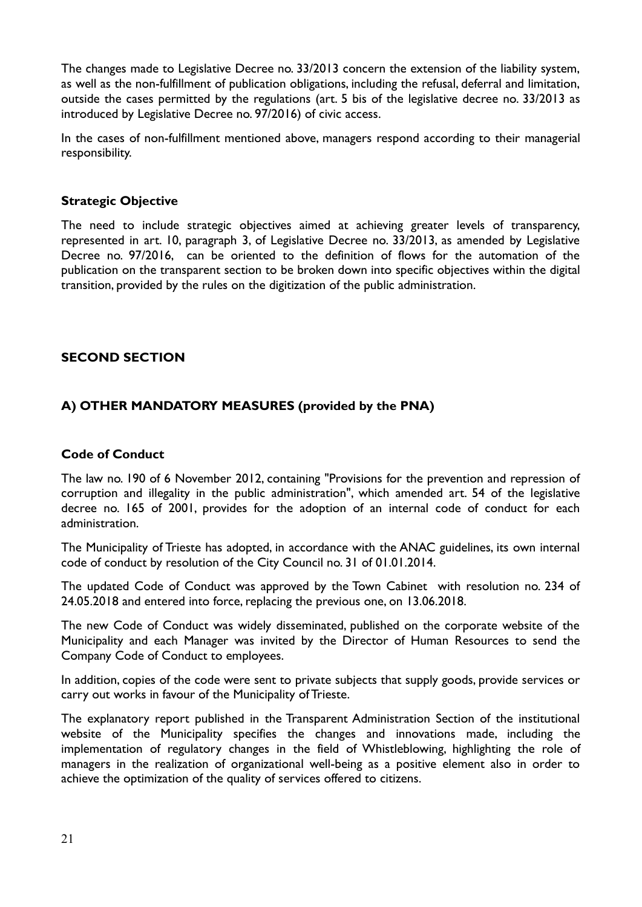The changes made to Legislative Decree no. 33/2013 concern the extension of the liability system, as well as the non-fulfillment of publication obligations, including the refusal, deferral and limitation, outside the cases permitted by the regulations (art. 5 bis of the legislative decree no. 33/2013 as introduced by Legislative Decree no. 97/2016) of civic access.

In the cases of non-fulfillment mentioned above, managers respond according to their managerial responsibility.

# **Strategic Objective**

The need to include strategic objectives aimed at achieving greater levels of transparency, represented in art. 10, paragraph 3, of Legislative Decree no. 33/2013, as amended by Legislative Decree no. 97/2016, can be oriented to the definition of flows for the automation of the publication on the transparent section to be broken down into specific objectives within the digital transition, provided by the rules on the digitization of the public administration.

#### **SECOND SECTION**

# **A) OTHER MANDATORY MEASURES (provided by the PNA)**

#### **Code of Conduct**

The law no. 190 of 6 November 2012, containing "Provisions for the prevention and repression of corruption and illegality in the public administration", which amended art. 54 of the legislative decree no. 165 of 2001, provides for the adoption of an internal code of conduct for each administration.

The Municipality of Trieste has adopted, in accordance with the ANAC guidelines, its own internal code of conduct by resolution of the City Council no. 31 of 01.01.2014.

The updated Code of Conduct was approved by the Town Cabinet with resolution no. 234 of 24.05.2018 and entered into force, replacing the previous one, on 13.06.2018.

The new Code of Conduct was widely disseminated, published on the corporate website of the Municipality and each Manager was invited by the Director of Human Resources to send the Company Code of Conduct to employees.

In addition, copies of the code were sent to private subjects that supply goods, provide services or carry out works in favour of the Municipality of Trieste.

The explanatory report published in the Transparent Administration Section of the institutional website of the Municipality specifies the changes and innovations made, including the implementation of regulatory changes in the field of Whistleblowing, highlighting the role of managers in the realization of organizational well-being as a positive element also in order to achieve the optimization of the quality of services offered to citizens.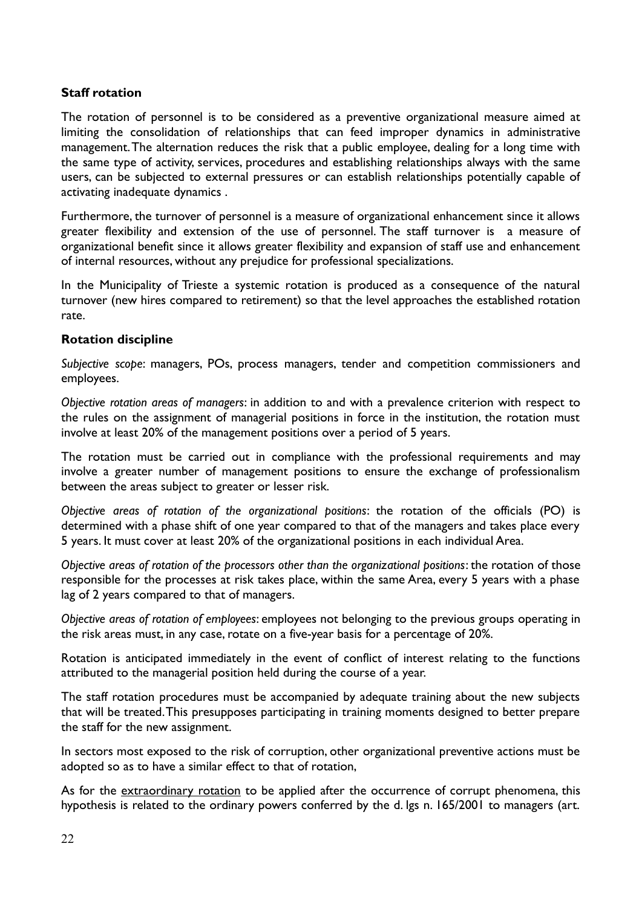# **Staff rotation**

The rotation of personnel is to be considered as a preventive organizational measure aimed at limiting the consolidation of relationships that can feed improper dynamics in administrative management. The alternation reduces the risk that a public employee, dealing for a long time with the same type of activity, services, procedures and establishing relationships always with the same users, can be subjected to external pressures or can establish relationships potentially capable of activating inadequate dynamics .

Furthermore, the turnover of personnel is a measure of organizational enhancement since it allows greater flexibility and extension of the use of personnel. The staff turnover is a measure of organizational benefit since it allows greater flexibility and expansion of staff use and enhancement of internal resources, without any prejudice for professional specializations.

In the Municipality of Trieste a systemic rotation is produced as a consequence of the natural turnover (new hires compared to retirement) so that the level approaches the established rotation rate.

#### **Rotation discipline**

*Subjective scope*: managers, POs, process managers, tender and competition commissioners and employees.

*Objective rotation areas of managers*: in addition to and with a prevalence criterion with respect to the rules on the assignment of managerial positions in force in the institution, the rotation must involve at least 20% of the management positions over a period of 5 years.

The rotation must be carried out in compliance with the professional requirements and may involve a greater number of management positions to ensure the exchange of professionalism between the areas subject to greater or lesser risk.

*Objective areas of rotation of the organizational positions*: the rotation of the officials (PO) is determined with a phase shift of one year compared to that of the managers and takes place every 5 years. It must cover at least 20% of the organizational positions in each individual Area.

*Objective areas of rotation of the processors other than the organizational positions*: the rotation of those responsible for the processes at risk takes place, within the same Area, every 5 years with a phase lag of 2 years compared to that of managers.

*Objective areas of rotation of employees*: employees not belonging to the previous groups operating in the risk areas must, in any case, rotate on a five-year basis for a percentage of 20%.

Rotation is anticipated immediately in the event of conflict of interest relating to the functions attributed to the managerial position held during the course of a year.

The staff rotation procedures must be accompanied by adequate training about the new subjects that will be treated. This presupposes participating in training moments designed to better prepare the staff for the new assignment.

In sectors most exposed to the risk of corruption, other organizational preventive actions must be adopted so as to have a similar effect to that of rotation,

As for the extraordinary rotation to be applied after the occurrence of corrupt phenomena, this hypothesis is related to the ordinary powers conferred by the d. lgs n. 165/2001 to managers (art.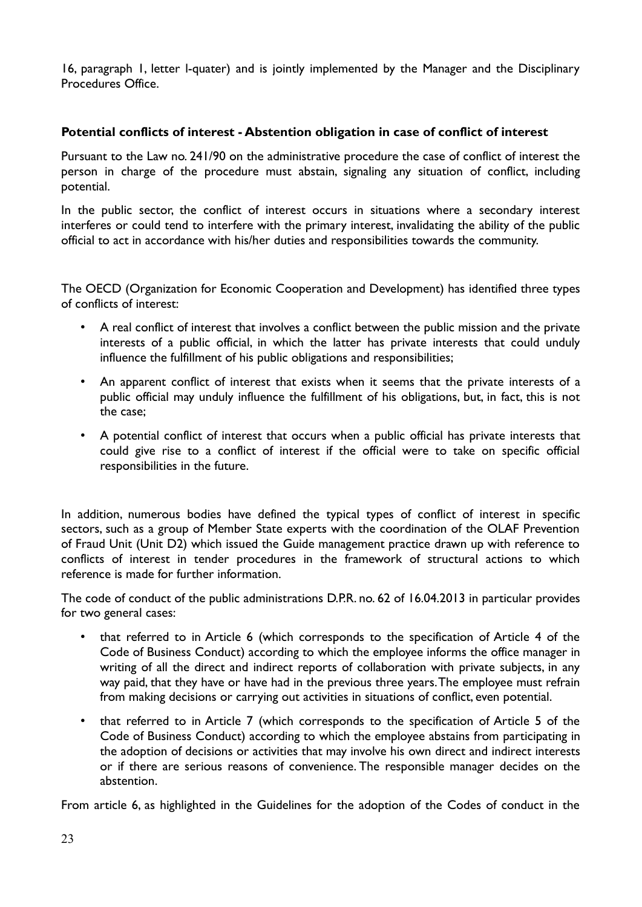16, paragraph 1, letter l-quater) and is jointly implemented by the Manager and the Disciplinary Procedures Office.

#### **Potential conflicts of interest - Abstention obligation in case of conflict of interest**

Pursuant to the Law no. 241/90 on the administrative procedure the case of conflict of interest the person in charge of the procedure must abstain, signaling any situation of conflict, including potential.

In the public sector, the conflict of interest occurs in situations where a secondary interest interferes or could tend to interfere with the primary interest, invalidating the ability of the public official to act in accordance with his/her duties and responsibilities towards the community.

The OECD (Organization for Economic Cooperation and Development) has identified three types of conflicts of interest:

- A real conflict of interest that involves a conflict between the public mission and the private interests of a public official, in which the latter has private interests that could unduly influence the fulfillment of his public obligations and responsibilities;
- An apparent conflict of interest that exists when it seems that the private interests of a public official may unduly influence the fulfillment of his obligations, but, in fact, this is not the case;
- A potential conflict of interest that occurs when a public official has private interests that could give rise to a conflict of interest if the official were to take on specific official responsibilities in the future.

In addition, numerous bodies have defined the typical types of conflict of interest in specific sectors, such as a group of Member State experts with the coordination of the OLAF Prevention of Fraud Unit (Unit D2) which issued the Guide management practice drawn up with reference to conflicts of interest in tender procedures in the framework of structural actions to which reference is made for further information.

The code of conduct of the public administrations D.P.R. no. 62 of 16.04.2013 in particular provides for two general cases:

- that referred to in Article 6 (which corresponds to the specification of Article 4 of the Code of Business Conduct) according to which the employee informs the office manager in writing of all the direct and indirect reports of collaboration with private subjects, in any way paid, that they have or have had in the previous three years. The employee must refrain from making decisions or carrying out activities in situations of conflict, even potential.
- that referred to in Article 7 (which corresponds to the specification of Article 5 of the Code of Business Conduct) according to which the employee abstains from participating in the adoption of decisions or activities that may involve his own direct and indirect interests or if there are serious reasons of convenience. The responsible manager decides on the abstention.

From article 6, as highlighted in the Guidelines for the adoption of the Codes of conduct in the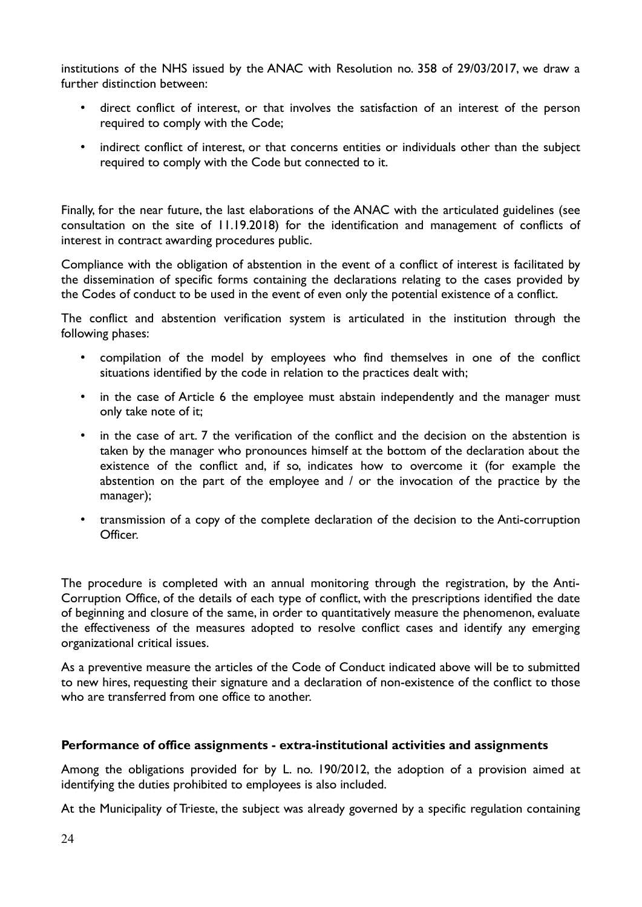institutions of the NHS issued by the ANAC with Resolution no. 358 of 29/03/2017, we draw a further distinction between:

- direct conflict of interest, or that involves the satisfaction of an interest of the person required to comply with the Code;
- indirect conflict of interest, or that concerns entities or individuals other than the subject required to comply with the Code but connected to it.

Finally, for the near future, the last elaborations of the ANAC with the articulated guidelines (see consultation on the site of 11.19.2018) for the identification and management of conflicts of interest in contract awarding procedures public.

Compliance with the obligation of abstention in the event of a conflict of interest is facilitated by the dissemination of specific forms containing the declarations relating to the cases provided by the Codes of conduct to be used in the event of even only the potential existence of a conflict.

The conflict and abstention verification system is articulated in the institution through the following phases:

- compilation of the model by employees who find themselves in one of the conflict situations identified by the code in relation to the practices dealt with;
- in the case of Article 6 the employee must abstain independently and the manager must only take note of it;
- in the case of art. 7 the verification of the conflict and the decision on the abstention is taken by the manager who pronounces himself at the bottom of the declaration about the existence of the conflict and, if so, indicates how to overcome it (for example the abstention on the part of the employee and / or the invocation of the practice by the manager);
- transmission of a copy of the complete declaration of the decision to the Anti-corruption Officer.

The procedure is completed with an annual monitoring through the registration, by the Anti-Corruption Office, of the details of each type of conflict, with the prescriptions identified the date of beginning and closure of the same, in order to quantitatively measure the phenomenon, evaluate the effectiveness of the measures adopted to resolve conflict cases and identify any emerging organizational critical issues.

As a preventive measure the articles of the Code of Conduct indicated above will be to submitted to new hires, requesting their signature and a declaration of non-existence of the conflict to those who are transferred from one office to another

# **Performance of office assignments - extra-institutional activities and assignments**

Among the obligations provided for by L. no. 190/2012, the adoption of a provision aimed at identifying the duties prohibited to employees is also included.

At the Municipality of Trieste, the subject was already governed by a specific regulation containing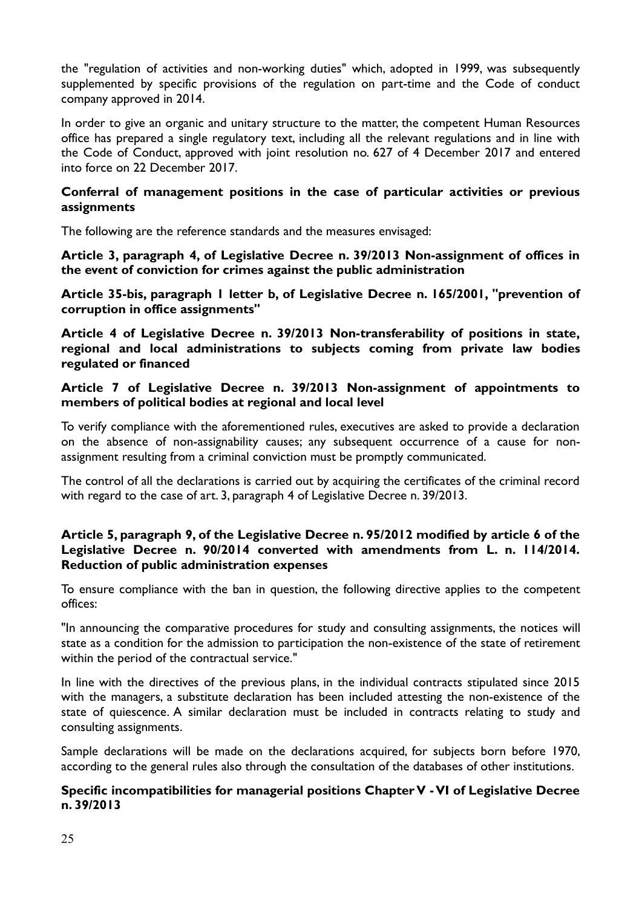the "regulation of activities and non-working duties" which, adopted in 1999, was subsequently supplemented by specific provisions of the regulation on part-time and the Code of conduct company approved in 2014.

In order to give an organic and unitary structure to the matter, the competent Human Resources office has prepared a single regulatory text, including all the relevant regulations and in line with the Code of Conduct, approved with joint resolution no. 627 of 4 December 2017 and entered into force on 22 December 2017.

## **Conferral of management positions in the case of particular activities or previous assignments**

The following are the reference standards and the measures envisaged:

**Article 3, paragraph 4, of Legislative Decree n. 39/2013 Non-assignment of offices in the event of conviction for crimes against the public administration**

**Article 35-bis, paragraph 1 letter b, of Legislative Decree n. 165/2001, "prevention of corruption in office assignments"**

**Article 4 of Legislative Decree n. 39/2013 Non-transferability of positions in state, regional and local administrations to subjects coming from private law bodies regulated or financed**

# **Article 7 of Legislative Decree n. 39/2013 Non-assignment of appointments to members of political bodies at regional and local level**

To verify compliance with the aforementioned rules, executives are asked to provide a declaration on the absence of non-assignability causes; any subsequent occurrence of a cause for nonassignment resulting from a criminal conviction must be promptly communicated.

The control of all the declarations is carried out by acquiring the certificates of the criminal record with regard to the case of art. 3, paragraph 4 of Legislative Decree n. 39/2013.

# **Article 5, paragraph 9, of the Legislative Decree n. 95/2012 modified by article 6 of the Legislative Decree n. 90/2014 converted with amendments from L. n. 114/2014. Reduction of public administration expenses**

To ensure compliance with the ban in question, the following directive applies to the competent offices:

"In announcing the comparative procedures for study and consulting assignments, the notices will state as a condition for the admission to participation the non-existence of the state of retirement within the period of the contractual service."

In line with the directives of the previous plans, in the individual contracts stipulated since 2015 with the managers, a substitute declaration has been included attesting the non-existence of the state of quiescence. A similar declaration must be included in contracts relating to study and consulting assignments.

Sample declarations will be made on the declarations acquired, for subjects born before 1970, according to the general rules also through the consultation of the databases of other institutions.

#### **Specific incompatibilities for managerial positions Chapter V - VI of Legislative Decree n. 39/2013**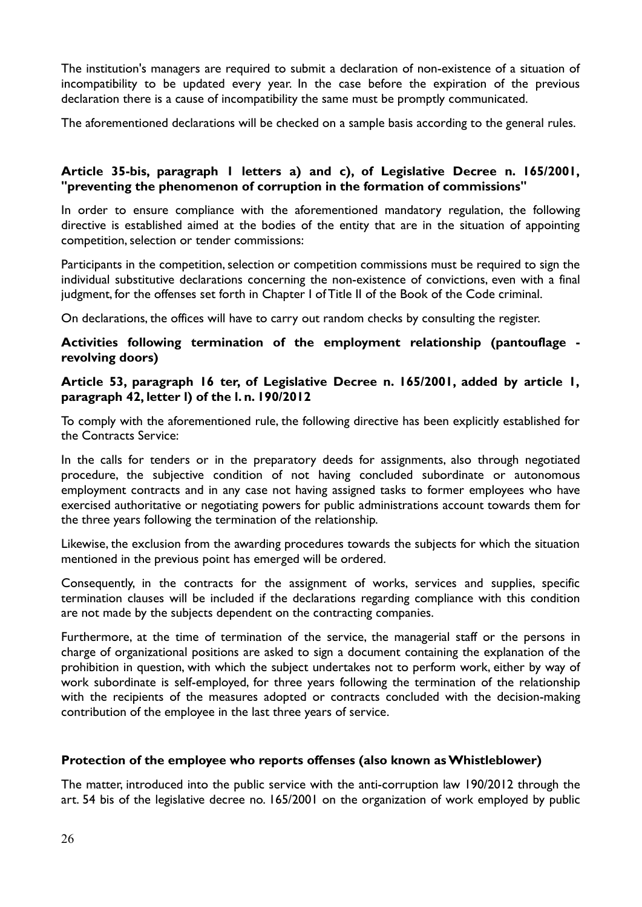The institution's managers are required to submit a declaration of non-existence of a situation of incompatibility to be updated every year. In the case before the expiration of the previous declaration there is a cause of incompatibility the same must be promptly communicated.

The aforementioned declarations will be checked on a sample basis according to the general rules.

# **Article 35-bis, paragraph 1 letters a) and c), of Legislative Decree n. 165/2001, "preventing the phenomenon of corruption in the formation of commissions"**

In order to ensure compliance with the aforementioned mandatory regulation, the following directive is established aimed at the bodies of the entity that are in the situation of appointing competition, selection or tender commissions:

Participants in the competition, selection or competition commissions must be required to sign the individual substitutive declarations concerning the non-existence of convictions, even with a final judgment, for the offenses set forth in Chapter I of Title II of the Book of the Code criminal.

On declarations, the offices will have to carry out random checks by consulting the register.

# **Activities following termination of the employment relationship (pantouflage revolving doors)**

# **Article 53, paragraph 16 ter, of Legislative Decree n. 165/2001, added by article 1, paragraph 42, letter l) of the l. n. 190/2012**

To comply with the aforementioned rule, the following directive has been explicitly established for the Contracts Service:

In the calls for tenders or in the preparatory deeds for assignments, also through negotiated procedure, the subjective condition of not having concluded subordinate or autonomous employment contracts and in any case not having assigned tasks to former employees who have exercised authoritative or negotiating powers for public administrations account towards them for the three years following the termination of the relationship.

Likewise, the exclusion from the awarding procedures towards the subjects for which the situation mentioned in the previous point has emerged will be ordered.

Consequently, in the contracts for the assignment of works, services and supplies, specific termination clauses will be included if the declarations regarding compliance with this condition are not made by the subjects dependent on the contracting companies.

Furthermore, at the time of termination of the service, the managerial staff or the persons in charge of organizational positions are asked to sign a document containing the explanation of the prohibition in question, with which the subject undertakes not to perform work, either by way of work subordinate is self-employed, for three years following the termination of the relationship with the recipients of the measures adopted or contracts concluded with the decision-making contribution of the employee in the last three years of service.

# **Protection of the employee who reports offenses (also known as Whistleblower)**

The matter, introduced into the public service with the anti-corruption law 190/2012 through the art. 54 bis of the legislative decree no. 165/2001 on the organization of work employed by public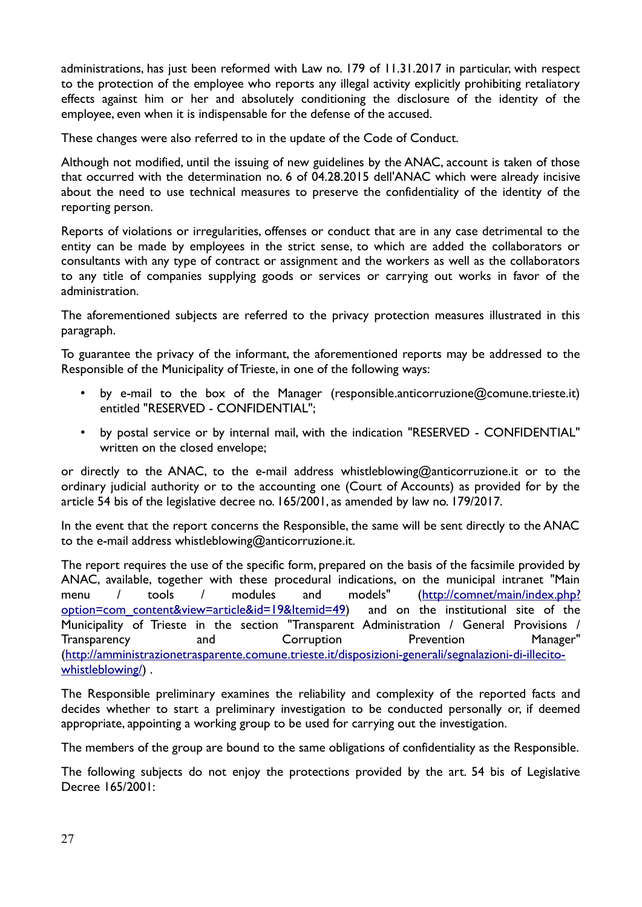administrations, has just been reformed with Law no. 179 of 11.31.2017 in particular, with respect to the protection of the employee who reports any illegal activity explicitly prohibiting retaliatory effects against him or her and absolutely conditioning the disclosure of the identity of the employee, even when it is indispensable for the defense of the accused.

These changes were also referred to in the update of the Code of Conduct.

Although not modified, until the issuing of new guidelines by the ANAC, account is taken of those that occurred with the determination no. 6 of 04.28.2015 dell'ANAC which were already incisive about the need to use technical measures to preserve the confidentiality of the identity of the reporting person.

Reports of violations or irregularities, offenses or conduct that are in any case detrimental to the entity can be made by employees in the strict sense, to which are added the collaborators or consultants with any type of contract or assignment and the workers as well as the collaborators to any title of companies supplying goods or services or carrying out works in favor of the administration.

The aforementioned subjects are referred to the privacy protection measures illustrated in this paragraph.

To guarantee the privacy of the informant, the aforementioned reports may be addressed to the Responsible of the Municipality of Trieste, in one of the following ways:

- by e-mail to the box of the Manager (responsible.anticorruzione@comune.trieste.it) entitled "RESERVED - CONFIDENTIAL";
- by postal service or by internal mail, with the indication "RESERVED CONFIDENTIAL" written on the closed envelope;

or directly to the ANAC, to the e-mail address whistleblowing@anticorruzione.it or to the ordinary judicial authority or to the accounting one (Court of Accounts) as provided for by the article 54 bis of the legislative decree no. 165/2001, as amended by law no. 179/2017.

In the event that the report concerns the Responsible, the same will be sent directly to the ANAC to the e-mail address whistleblowing@anticorruzione.it.

The report requires the use of the specific form, prepared on the basis of the facsimile provided by ANAC, available, together with these procedural indications, on the municipal intranet "Main menu / tools / modules and models" [\(http://comnet/main/index.php?](http://comnet/main/index.php?option=com_content&view=article&id=19&Itemid=49) [option=com\\_content&view=article&id=19&Itemid=49\)](http://comnet/main/index.php?option=com_content&view=article&id=19&Itemid=49) and on the institutional site of the Municipality of Trieste in the section "Transparent Administration / General Provisions / Transparency and Corruption Prevention Manager" ([http://amministrazionetrasparente.comune.trieste.it/disposizioni-generali/segnalazioni-di-illecito](http://amministrazionetrasparente.comune.trieste.it/disposizioni-generali/segnalazioni-di-illecito-whistleblowing/)[whistleblowing/](http://amministrazionetrasparente.comune.trieste.it/disposizioni-generali/segnalazioni-di-illecito-whistleblowing/)).

The Responsible preliminary examines the reliability and complexity of the reported facts and decides whether to start a preliminary investigation to be conducted personally or, if deemed appropriate, appointing a working group to be used for carrying out the investigation.

The members of the group are bound to the same obligations of confidentiality as the Responsible.

The following subjects do not enjoy the protections provided by the art. 54 bis of Legislative Decree 165/2001: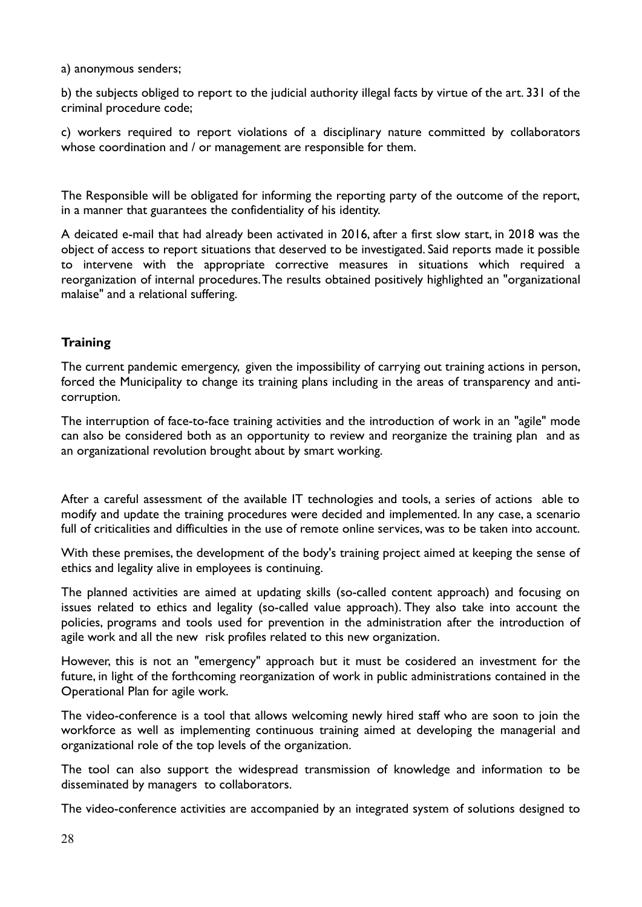a) anonymous senders;

b) the subjects obliged to report to the judicial authority illegal facts by virtue of the art. 331 of the criminal procedure code;

c) workers required to report violations of a disciplinary nature committed by collaborators whose coordination and / or management are responsible for them.

The Responsible will be obligated for informing the reporting party of the outcome of the report, in a manner that guarantees the confidentiality of his identity.

A deicated e-mail that had already been activated in 2016, after a first slow start, in 2018 was the object of access to report situations that deserved to be investigated. Said reports made it possible to intervene with the appropriate corrective measures in situations which required a reorganization of internal procedures. The results obtained positively highlighted an "organizational malaise" and a relational suffering.

# **Training**

The current pandemic emergency, given the impossibility of carrying out training actions in person, forced the Municipality to change its training plans including in the areas of transparency and anticorruption.

The interruption of face-to-face training activities and the introduction of work in an "agile" mode can also be considered both as an opportunity to review and reorganize the training plan and as an organizational revolution brought about by smart working.

After a careful assessment of the available IT technologies and tools, a series of actions able to modify and update the training procedures were decided and implemented. In any case, a scenario full of criticalities and difficulties in the use of remote online services, was to be taken into account.

With these premises, the development of the body's training project aimed at keeping the sense of ethics and legality alive in employees is continuing.

The planned activities are aimed at updating skills (so-called content approach) and focusing on issues related to ethics and legality (so-called value approach). They also take into account the policies, programs and tools used for prevention in the administration after the introduction of agile work and all the new risk profiles related to this new organization.

However, this is not an "emergency" approach but it must be cosidered an investment for the future, in light of the forthcoming reorganization of work in public administrations contained in the Operational Plan for agile work.

The video-conference is a tool that allows welcoming newly hired staff who are soon to join the workforce as well as implementing continuous training aimed at developing the managerial and organizational role of the top levels of the organization.

The tool can also support the widespread transmission of knowledge and information to be disseminated by managers to collaborators.

The video-conference activities are accompanied by an integrated system of solutions designed to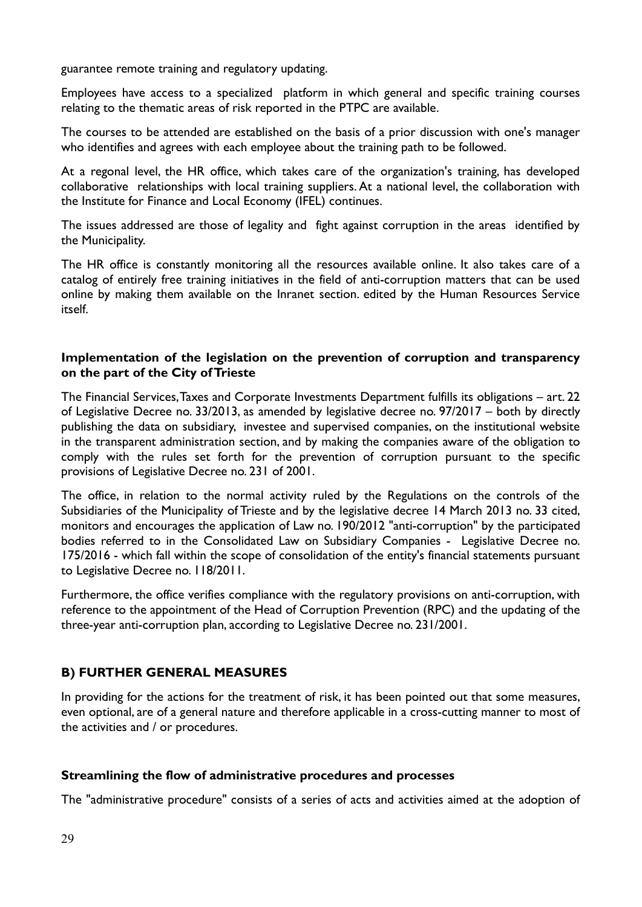guarantee remote training and regulatory updating.

Employees have access to a specialized platform in which general and specific training courses relating to the thematic areas of risk reported in the PTPC are available.

The courses to be attended are established on the basis of a prior discussion with one's manager who identifies and agrees with each employee about the training path to be followed.

At a regonal level, the HR office, which takes care of the organization's training, has developed collaborative relationships with local training suppliers. At a national level, the collaboration with the Institute for Finance and Local Economy (IFEL) continues.

The issues addressed are those of legality and fight against corruption in the areas identified by the Municipality.

The HR office is constantly monitoring all the resources available online. It also takes care of a catalog of entirely free training initiatives in the field of anti-corruption matters that can be used online by making them available on the Inranet section. edited by the Human Resources Service itself.

#### **Implementation of the legislation on the prevention of corruption and transparency on the part of the City of Trieste**

The Financial Services, Taxes and Corporate Investments Department fulfills its obligations – art. 22 of Legislative Decree no. 33/2013, as amended by legislative decree no. 97/2017 – both by directly publishing the data on subsidiary, investee and supervised companies, on the institutional website in the transparent administration section, and by making the companies aware of the obligation to comply with the rules set forth for the prevention of corruption pursuant to the specific provisions of Legislative Decree no. 231 of 2001.

The office, in relation to the normal activity ruled by the Regulations on the controls of the Subsidiaries of the Municipality of Trieste and by the legislative decree 14 March 2013 no. 33 cited, monitors and encourages the application of Law no. 190/2012 "anti-corruption" by the participated bodies referred to in the Consolidated Law on Subsidiary Companies - Legislative Decree no. 175/2016 - which fall within the scope of consolidation of the entity's financial statements pursuant to Legislative Decree no. 118/2011.

Furthermore, the office verifies compliance with the regulatory provisions on anti-corruption, with reference to the appointment of the Head of Corruption Prevention (RPC) and the updating of the three-year anti-corruption plan, according to Legislative Decree no. 231/2001.

# **B) FURTHER GENERAL MEASURES**

In providing for the actions for the treatment of risk, it has been pointed out that some measures, even optional, are of a general nature and therefore applicable in a cross-cutting manner to most of the activities and / or procedures.

#### **Streamlining the flow of administrative procedures and processes**

The "administrative procedure" consists of a series of acts and activities aimed at the adoption of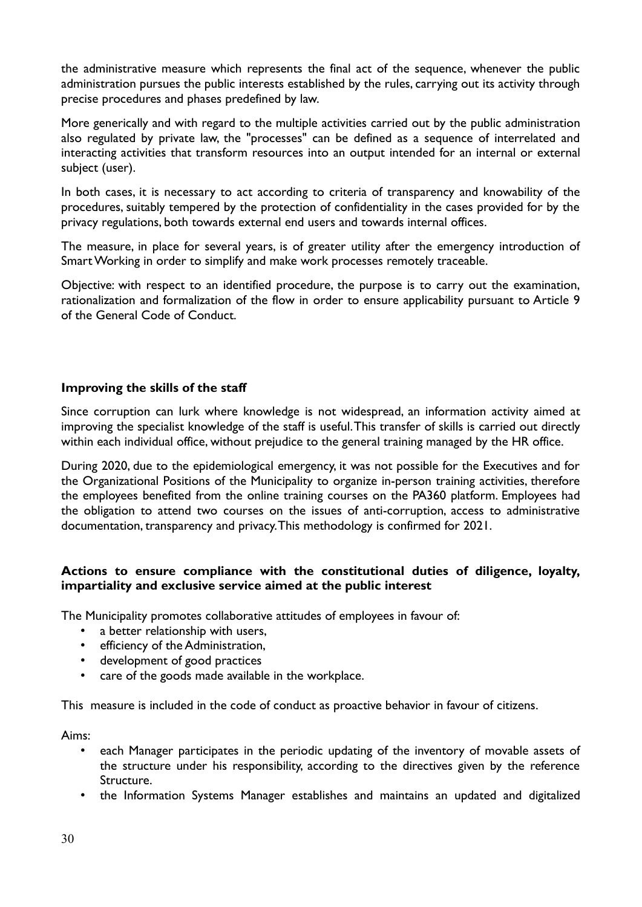the administrative measure which represents the final act of the sequence, whenever the public administration pursues the public interests established by the rules, carrying out its activity through precise procedures and phases predefined by law.

More generically and with regard to the multiple activities carried out by the public administration also regulated by private law, the "processes" can be defined as a sequence of interrelated and interacting activities that transform resources into an output intended for an internal or external subject (user).

In both cases, it is necessary to act according to criteria of transparency and knowability of the procedures, suitably tempered by the protection of confidentiality in the cases provided for by the privacy regulations, both towards external end users and towards internal offices.

The measure, in place for several years, is of greater utility after the emergency introduction of Smart Working in order to simplify and make work processes remotely traceable.

Objective: with respect to an identified procedure, the purpose is to carry out the examination, rationalization and formalization of the flow in order to ensure applicability pursuant to Article 9 of the General Code of Conduct.

# **Improving the skills of the staff**

Since corruption can lurk where knowledge is not widespread, an information activity aimed at improving the specialist knowledge of the staff is useful. This transfer of skills is carried out directly within each individual office, without prejudice to the general training managed by the HR office.

During 2020, due to the epidemiological emergency, it was not possible for the Executives and for the Organizational Positions of the Municipality to organize in-person training activities, therefore the employees benefited from the online training courses on the PA360 platform. Employees had the obligation to attend two courses on the issues of anti-corruption, access to administrative documentation, transparency and privacy. This methodology is confirmed for 2021.

# **Actions to ensure compliance with the constitutional duties of diligence, loyalty, impartiality and exclusive service aimed at the public interest**

The Municipality promotes collaborative attitudes of employees in favour of:

- a better relationship with users,
- efficiency of the Administration,
- development of good practices
- care of the goods made available in the workplace.

This measure is included in the code of conduct as proactive behavior in favour of citizens.

Aims:

- each Manager participates in the periodic updating of the inventory of movable assets of the structure under his responsibility, according to the directives given by the reference Structure.
- the Information Systems Manager establishes and maintains an updated and digitalized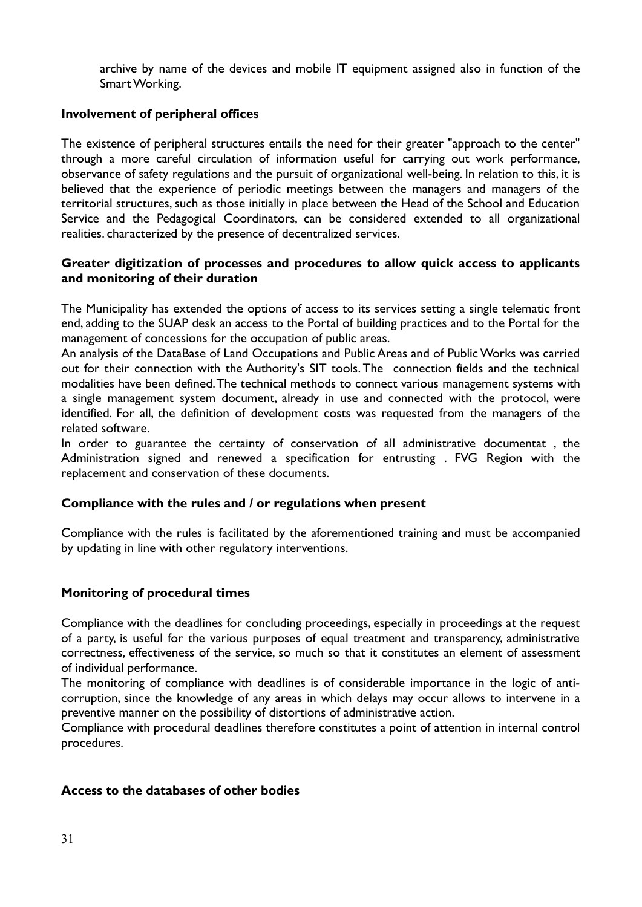archive by name of the devices and mobile IT equipment assigned also in function of the Smart Working.

# **Involvement of peripheral offices**

The existence of peripheral structures entails the need for their greater "approach to the center" through a more careful circulation of information useful for carrying out work performance, observance of safety regulations and the pursuit of organizational well-being. In relation to this, it is believed that the experience of periodic meetings between the managers and managers of the territorial structures, such as those initially in place between the Head of the School and Education Service and the Pedagogical Coordinators, can be considered extended to all organizational realities. characterized by the presence of decentralized services.

#### **Greater digitization of processes and procedures to allow quick access to applicants and monitoring of their duration**

The Municipality has extended the options of access to its services setting a single telematic front end, adding to the SUAP desk an access to the Portal of building practices and to the Portal for the management of concessions for the occupation of public areas.

An analysis of the DataBase of Land Occupations and Public Areas and of Public Works was carried out for their connection with the Authority's SIT tools. The connection fields and the technical modalities have been defined. The technical methods to connect various management systems with a single management system document, already in use and connected with the protocol, were identified. For all, the definition of development costs was requested from the managers of the related software.

In order to guarantee the certainty of conservation of all administrative documentat , the Administration signed and renewed a specification for entrusting . FVG Region with the replacement and conservation of these documents.

# **Compliance with the rules and / or regulations when present**

Compliance with the rules is facilitated by the aforementioned training and must be accompanied by updating in line with other regulatory interventions.

# **Monitoring of procedural times**

Compliance with the deadlines for concluding proceedings, especially in proceedings at the request of a party, is useful for the various purposes of equal treatment and transparency, administrative correctness, effectiveness of the service, so much so that it constitutes an element of assessment of individual performance.

The monitoring of compliance with deadlines is of considerable importance in the logic of anticorruption, since the knowledge of any areas in which delays may occur allows to intervene in a preventive manner on the possibility of distortions of administrative action.

Compliance with procedural deadlines therefore constitutes a point of attention in internal control procedures.

# **Access to the databases of other bodies**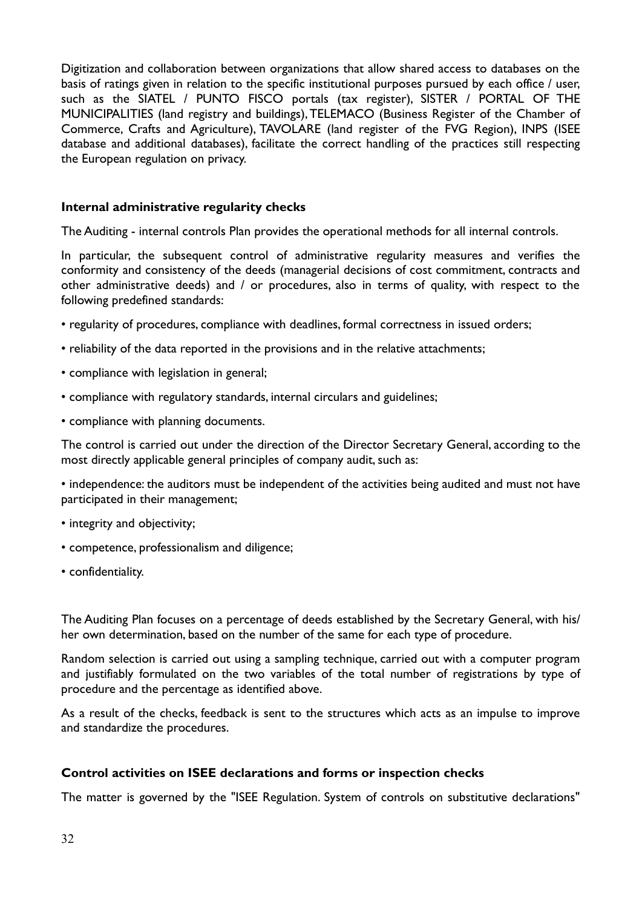Digitization and collaboration between organizations that allow shared access to databases on the basis of ratings given in relation to the specific institutional purposes pursued by each office / user, such as the SIATEL / PUNTO FISCO portals (tax register), SISTER / PORTAL OF THE MUNICIPALITIES (land registry and buildings), TELEMACO (Business Register of the Chamber of Commerce, Crafts and Agriculture), TAVOLARE (land register of the FVG Region), INPS (ISEE database and additional databases), facilitate the correct handling of the practices still respecting the European regulation on privacy.

#### **Internal administrative regularity checks**

The Auditing - internal controls Plan provides the operational methods for all internal controls.

In particular, the subsequent control of administrative regularity measures and verifies the conformity and consistency of the deeds (managerial decisions of cost commitment, contracts and other administrative deeds) and / or procedures, also in terms of quality, with respect to the following predefined standards:

- regularity of procedures, compliance with deadlines, formal correctness in issued orders;
- reliability of the data reported in the provisions and in the relative attachments;
- compliance with legislation in general;
- compliance with regulatory standards, internal circulars and guidelines;
- compliance with planning documents.

The control is carried out under the direction of the Director Secretary General, according to the most directly applicable general principles of company audit, such as:

• independence: the auditors must be independent of the activities being audited and must not have participated in their management;

- integrity and objectivity;
- competence, professionalism and diligence;
- confidentiality.

The Auditing Plan focuses on a percentage of deeds established by the Secretary General, with his/ her own determination, based on the number of the same for each type of procedure.

Random selection is carried out using a sampling technique, carried out with a computer program and justifiably formulated on the two variables of the total number of registrations by type of procedure and the percentage as identified above.

As a result of the checks, feedback is sent to the structures which acts as an impulse to improve and standardize the procedures.

# **Control activities on ISEE declarations and forms or inspection checks**

The matter is governed by the "ISEE Regulation. System of controls on substitutive declarations"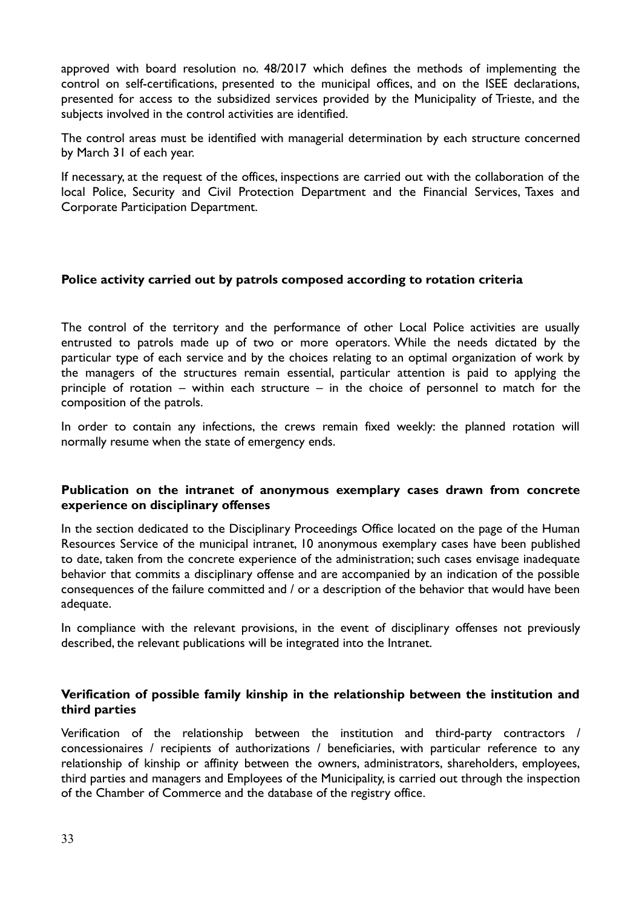approved with board resolution no. 48/2017 which defines the methods of implementing the control on self-certifications, presented to the municipal offices, and on the ISEE declarations, presented for access to the subsidized services provided by the Municipality of Trieste, and the subjects involved in the control activities are identified.

The control areas must be identified with managerial determination by each structure concerned by March 31 of each year.

If necessary, at the request of the offices, inspections are carried out with the collaboration of the local Police, Security and Civil Protection Department and the Financial Services, Taxes and Corporate Participation Department.

#### **Police activity carried out by patrols composed according to rotation criteria**

The control of the territory and the performance of other Local Police activities are usually entrusted to patrols made up of two or more operators. While the needs dictated by the particular type of each service and by the choices relating to an optimal organization of work by the managers of the structures remain essential, particular attention is paid to applying the principle of rotation – within each structure – in the choice of personnel to match for the composition of the patrols.

In order to contain any infections, the crews remain fixed weekly: the planned rotation will normally resume when the state of emergency ends.

#### **Publication on the intranet of anonymous exemplary cases drawn from concrete experience on disciplinary offenses**

In the section dedicated to the Disciplinary Proceedings Office located on the page of the Human Resources Service of the municipal intranet, 10 anonymous exemplary cases have been published to date, taken from the concrete experience of the administration; such cases envisage inadequate behavior that commits a disciplinary offense and are accompanied by an indication of the possible consequences of the failure committed and / or a description of the behavior that would have been adequate.

In compliance with the relevant provisions, in the event of disciplinary offenses not previously described, the relevant publications will be integrated into the Intranet.

#### **Verification of possible family kinship in the relationship between the institution and third parties**

Verification of the relationship between the institution and third-party contractors / concessionaires / recipients of authorizations / beneficiaries, with particular reference to any relationship of kinship or affinity between the owners, administrators, shareholders, employees, third parties and managers and Employees of the Municipality, is carried out through the inspection of the Chamber of Commerce and the database of the registry office.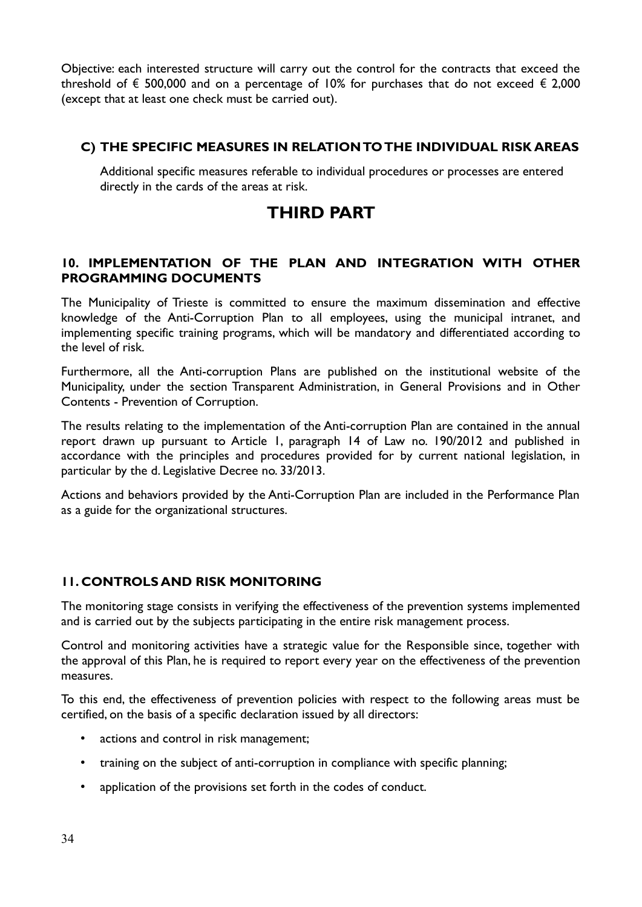Objective: each interested structure will carry out the control for the contracts that exceed the threshold of  $\epsilon$  500,000 and on a percentage of 10% for purchases that do not exceed  $\epsilon$  2,000 (except that at least one check must be carried out).

# **C) THE SPECIFIC MEASURES IN RELATION TO THE INDIVIDUAL RISK AREAS**

Additional specific measures referable to individual procedures or processes are entered directly in the cards of the areas at risk.

# **THIRD PART**

# **10. IMPLEMENTATION OF THE PLAN AND INTEGRATION WITH OTHER PROGRAMMING DOCUMENTS**

The Municipality of Trieste is committed to ensure the maximum dissemination and effective knowledge of the Anti-Corruption Plan to all employees, using the municipal intranet, and implementing specific training programs, which will be mandatory and differentiated according to the level of risk.

Furthermore, all the Anti-corruption Plans are published on the institutional website of the Municipality, under the section Transparent Administration, in General Provisions and in Other Contents - Prevention of Corruption.

The results relating to the implementation of the Anti-corruption Plan are contained in the annual report drawn up pursuant to Article 1, paragraph 14 of Law no. 190/2012 and published in accordance with the principles and procedures provided for by current national legislation, in particular by the d. Legislative Decree no. 33/2013.

Actions and behaviors provided by the Anti-Corruption Plan are included in the Performance Plan as a guide for the organizational structures.

# **11. CONTROLS AND RISK MONITORING**

The monitoring stage consists in verifying the effectiveness of the prevention systems implemented and is carried out by the subjects participating in the entire risk management process.

Control and monitoring activities have a strategic value for the Responsible since, together with the approval of this Plan, he is required to report every year on the effectiveness of the prevention measures.

To this end, the effectiveness of prevention policies with respect to the following areas must be certified, on the basis of a specific declaration issued by all directors:

- actions and control in risk management;
- training on the subject of anti-corruption in compliance with specific planning;
- application of the provisions set forth in the codes of conduct.